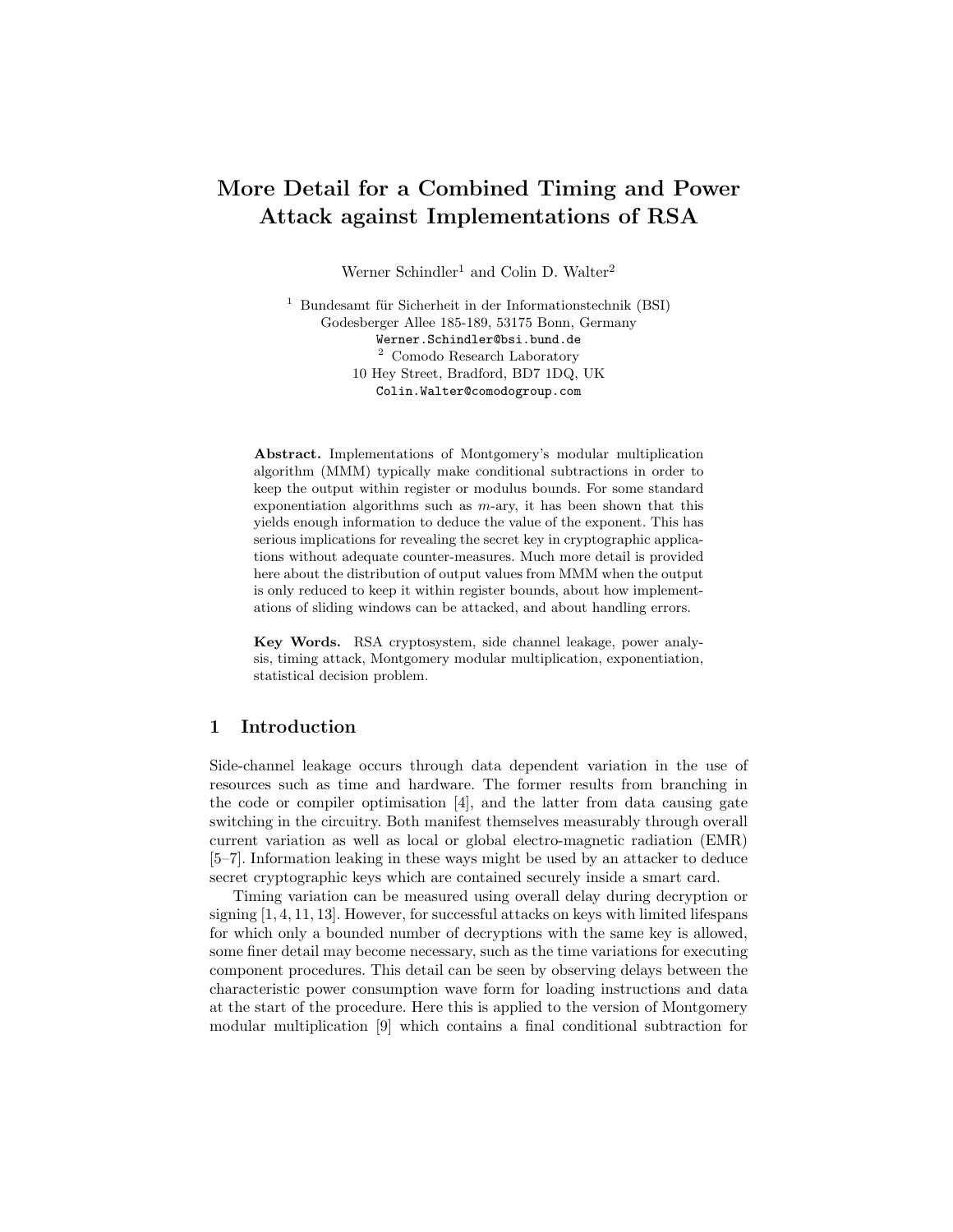# More Detail for a Combined Timing and Power Attack against Implementations of RSA

Werner Schindler<sup>1</sup> and Colin D. Walter<sup>2</sup>

 $1$  Bundesamt für Sicherheit in der Informationstechnik (BSI) Godesberger Allee 185-189, 53175 Bonn, Germany Werner.Schindler@bsi.bund.de <sup>2</sup> Comodo Research Laboratory 10 Hey Street, Bradford, BD7 1DQ, UK Colin.Walter@comodogroup.com

Abstract. Implementations of Montgomery's modular multiplication algorithm (MMM) typically make conditional subtractions in order to keep the output within register or modulus bounds. For some standard exponentiation algorithms such as  $m$ -ary, it has been shown that this yields enough information to deduce the value of the exponent. This has serious implications for revealing the secret key in cryptographic applications without adequate counter-measures. Much more detail is provided here about the distribution of output values from MMM when the output is only reduced to keep it within register bounds, about how implementations of sliding windows can be attacked, and about handling errors.

Key Words. RSA cryptosystem, side channel leakage, power analysis, timing attack, Montgomery modular multiplication, exponentiation, statistical decision problem.

## 1 Introduction

Side-channel leakage occurs through data dependent variation in the use of resources such as time and hardware. The former results from branching in the code or compiler optimisation [4], and the latter from data causing gate switching in the circuitry. Both manifest themselves measurably through overall current variation as well as local or global electro-magnetic radiation (EMR) [5–7]. Information leaking in these ways might be used by an attacker to deduce secret cryptographic keys which are contained securely inside a smart card.

Timing variation can be measured using overall delay during decryption or signing [1, 4, 11, 13]. However, for successful attacks on keys with limited lifespans for which only a bounded number of decryptions with the same key is allowed, some finer detail may become necessary, such as the time variations for executing component procedures. This detail can be seen by observing delays between the characteristic power consumption wave form for loading instructions and data at the start of the procedure. Here this is applied to the version of Montgomery modular multiplication [9] which contains a final conditional subtraction for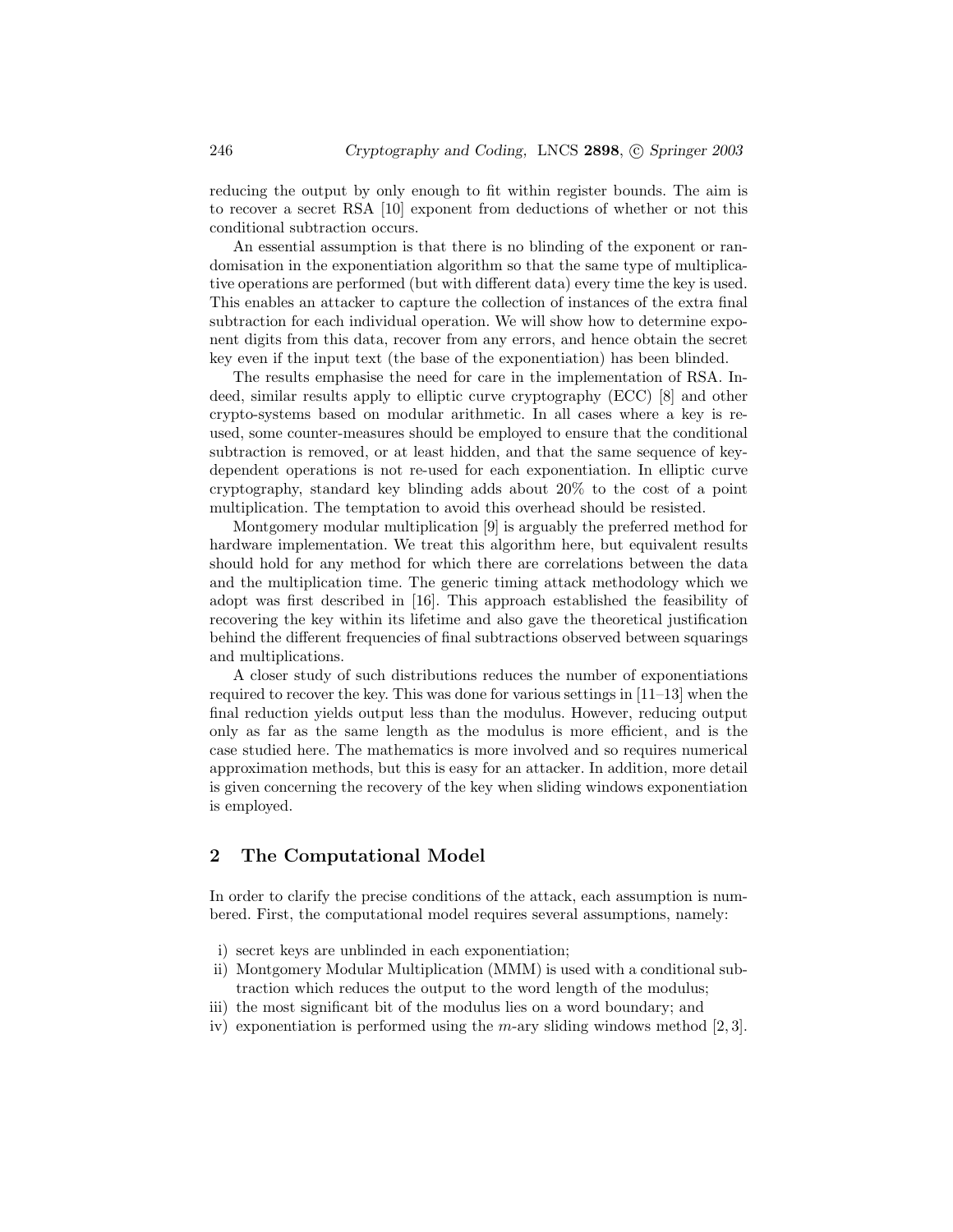reducing the output by only enough to fit within register bounds. The aim is to recover a secret RSA [10] exponent from deductions of whether or not this conditional subtraction occurs.

An essential assumption is that there is no blinding of the exponent or randomisation in the exponentiation algorithm so that the same type of multiplicative operations are performed (but with different data) every time the key is used. This enables an attacker to capture the collection of instances of the extra final subtraction for each individual operation. We will show how to determine exponent digits from this data, recover from any errors, and hence obtain the secret key even if the input text (the base of the exponentiation) has been blinded.

The results emphasise the need for care in the implementation of RSA. Indeed, similar results apply to elliptic curve cryptography (ECC) [8] and other crypto-systems based on modular arithmetic. In all cases where a key is reused, some counter-measures should be employed to ensure that the conditional subtraction is removed, or at least hidden, and that the same sequence of keydependent operations is not re-used for each exponentiation. In elliptic curve cryptography, standard key blinding adds about 20% to the cost of a point multiplication. The temptation to avoid this overhead should be resisted.

Montgomery modular multiplication [9] is arguably the preferred method for hardware implementation. We treat this algorithm here, but equivalent results should hold for any method for which there are correlations between the data and the multiplication time. The generic timing attack methodology which we adopt was first described in [16]. This approach established the feasibility of recovering the key within its lifetime and also gave the theoretical justification behind the different frequencies of final subtractions observed between squarings and multiplications.

A closer study of such distributions reduces the number of exponentiations required to recover the key. This was done for various settings in [11–13] when the final reduction yields output less than the modulus. However, reducing output only as far as the same length as the modulus is more efficient, and is the case studied here. The mathematics is more involved and so requires numerical approximation methods, but this is easy for an attacker. In addition, more detail is given concerning the recovery of the key when sliding windows exponentiation is employed.

## 2 The Computational Model

In order to clarify the precise conditions of the attack, each assumption is numbered. First, the computational model requires several assumptions, namely:

- i) secret keys are unblinded in each exponentiation;
- ii) Montgomery Modular Multiplication (MMM) is used with a conditional subtraction which reduces the output to the word length of the modulus;
- iii) the most significant bit of the modulus lies on a word boundary; and
- iv) exponentiation is performed using the  $m$ -ary sliding windows method [2, 3].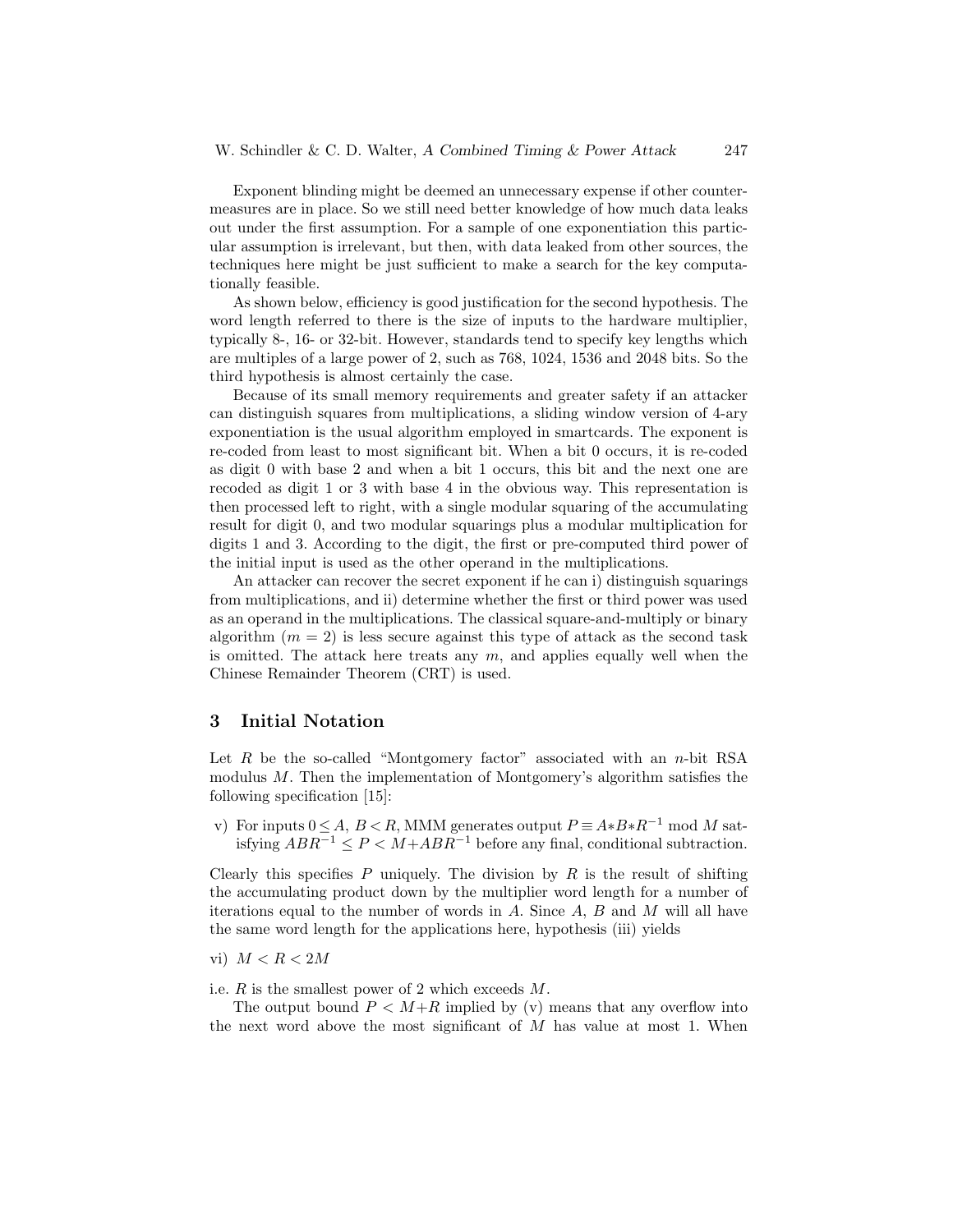Exponent blinding might be deemed an unnecessary expense if other countermeasures are in place. So we still need better knowledge of how much data leaks out under the first assumption. For a sample of one exponentiation this particular assumption is irrelevant, but then, with data leaked from other sources, the techniques here might be just sufficient to make a search for the key computationally feasible.

As shown below, efficiency is good justification for the second hypothesis. The word length referred to there is the size of inputs to the hardware multiplier, typically 8-, 16- or 32-bit. However, standards tend to specify key lengths which are multiples of a large power of 2, such as 768, 1024, 1536 and 2048 bits. So the third hypothesis is almost certainly the case.

Because of its small memory requirements and greater safety if an attacker can distinguish squares from multiplications, a sliding window version of 4-ary exponentiation is the usual algorithm employed in smartcards. The exponent is re-coded from least to most significant bit. When a bit 0 occurs, it is re-coded as digit 0 with base 2 and when a bit 1 occurs, this bit and the next one are recoded as digit 1 or 3 with base 4 in the obvious way. This representation is then processed left to right, with a single modular squaring of the accumulating result for digit 0, and two modular squarings plus a modular multiplication for digits 1 and 3. According to the digit, the first or pre-computed third power of the initial input is used as the other operand in the multiplications.

An attacker can recover the secret exponent if he can i) distinguish squarings from multiplications, and ii) determine whether the first or third power was used as an operand in the multiplications. The classical square-and-multiply or binary algorithm  $(m = 2)$  is less secure against this type of attack as the second task is omitted. The attack here treats any  $m$ , and applies equally well when the Chinese Remainder Theorem (CRT) is used.

#### 3 Initial Notation

Let  $R$  be the so-called "Montgomery factor" associated with an n-bit RSA modulus M. Then the implementation of Montgomery's algorithm satisfies the following specification [15]:

v) For inputs  $0 \leq A, B \leq R$ , MMM generates output  $P = A*B*B^{-1} \mod M$  satisfying  $ABR^{-1} ≤ P < M + ABR^{-1}$  before any final, conditional subtraction.

Clearly this specifies  $P$  uniquely. The division by  $R$  is the result of shifting the accumulating product down by the multiplier word length for a number of iterations equal to the number of words in  $A$ . Since  $A$ ,  $B$  and  $M$  will all have the same word length for the applications here, hypothesis (iii) yields

vi)  $M < R < 2M$ 

i.e.  $R$  is the smallest power of 2 which exceeds  $M$ .

The output bound  $P \leq M+R$  implied by (v) means that any overflow into the next word above the most significant of  $M$  has value at most 1. When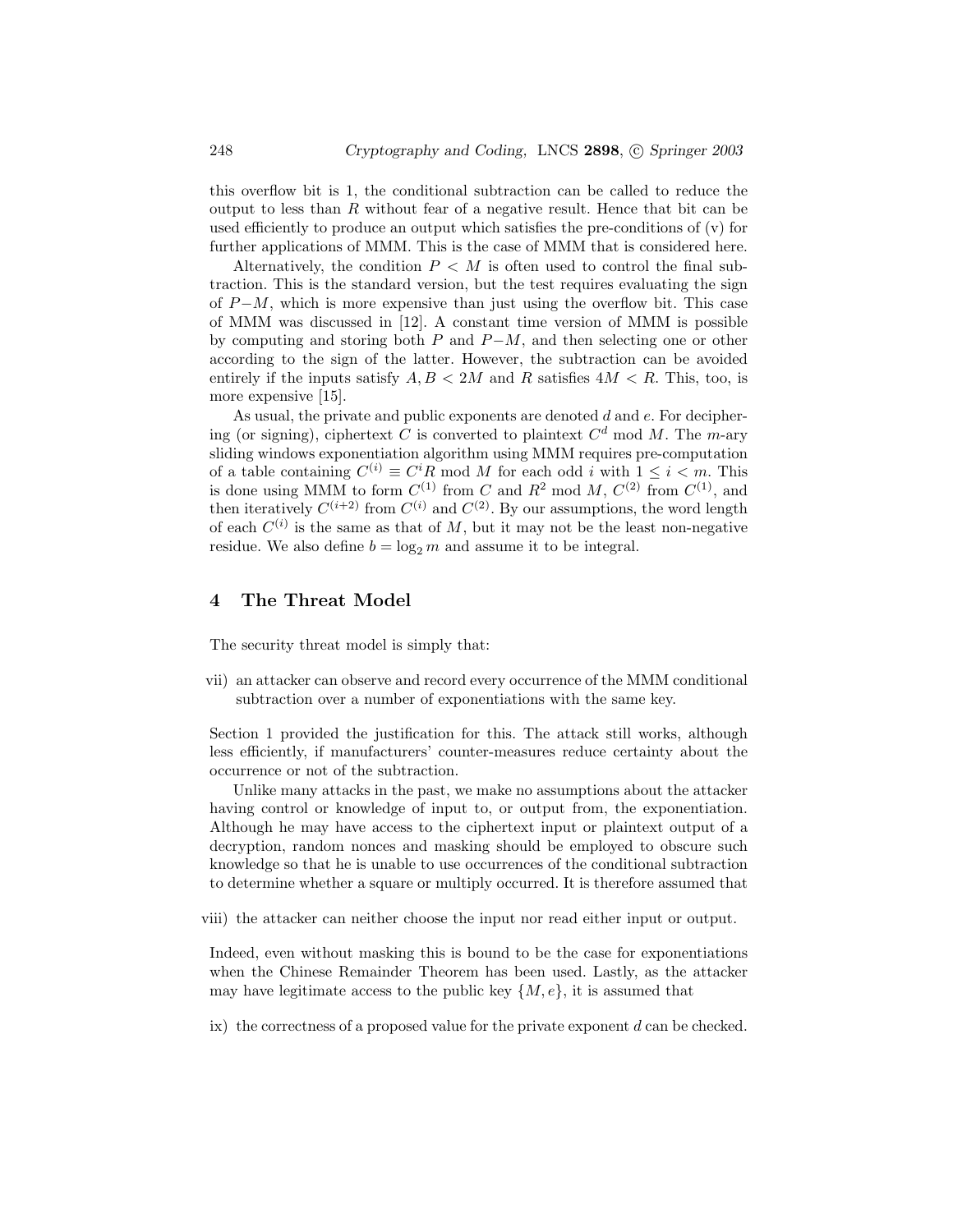this overflow bit is 1, the conditional subtraction can be called to reduce the output to less than  $R$  without fear of a negative result. Hence that bit can be used efficiently to produce an output which satisfies the pre-conditions of (v) for further applications of MMM. This is the case of MMM that is considered here.

Alternatively, the condition  $P \leq M$  is often used to control the final subtraction. This is the standard version, but the test requires evaluating the sign of  $P-M$ , which is more expensive than just using the overflow bit. This case of MMM was discussed in [12]. A constant time version of MMM is possible by computing and storing both P and  $P-M$ , and then selecting one or other according to the sign of the latter. However, the subtraction can be avoided entirely if the inputs satisfy  $A, B \leq 2M$  and R satisfies  $4M \leq R$ . This, too, is more expensive [15].

As usual, the private and public exponents are denoted  $d$  and  $e$ . For deciphering (or signing), ciphertext C is converted to plaintext  $C<sup>d</sup>$  mod M. The m-ary sliding windows exponentiation algorithm using MMM requires pre-computation of a table containing  $C^{(i)} \equiv C^i R \mod M$  for each odd i with  $1 \leq i < m$ . This is done using MMM to form  $C^{(1)}$  from C and  $R^2$  mod M,  $C^{(2)}$  from  $C^{(1)}$ , and then iteratively  $C^{(i+2)}$  from  $C^{(i)}$  and  $C^{(2)}$ . By our assumptions, the word length of each  $C^{(i)}$  is the same as that of M, but it may not be the least non-negative residue. We also define  $b = \log_2 m$  and assume it to be integral.

### 4 The Threat Model

The security threat model is simply that:

vii) an attacker can observe and record every occurrence of the MMM conditional subtraction over a number of exponentiations with the same key.

Section 1 provided the justification for this. The attack still works, although less efficiently, if manufacturers' counter-measures reduce certainty about the occurrence or not of the subtraction.

Unlike many attacks in the past, we make no assumptions about the attacker having control or knowledge of input to, or output from, the exponentiation. Although he may have access to the ciphertext input or plaintext output of a decryption, random nonces and masking should be employed to obscure such knowledge so that he is unable to use occurrences of the conditional subtraction to determine whether a square or multiply occurred. It is therefore assumed that

viii) the attacker can neither choose the input nor read either input or output.

Indeed, even without masking this is bound to be the case for exponentiations when the Chinese Remainder Theorem has been used. Lastly, as the attacker may have legitimate access to the public key  $\{M, e\}$ , it is assumed that

ix) the correctness of a proposed value for the private exponent  $d$  can be checked.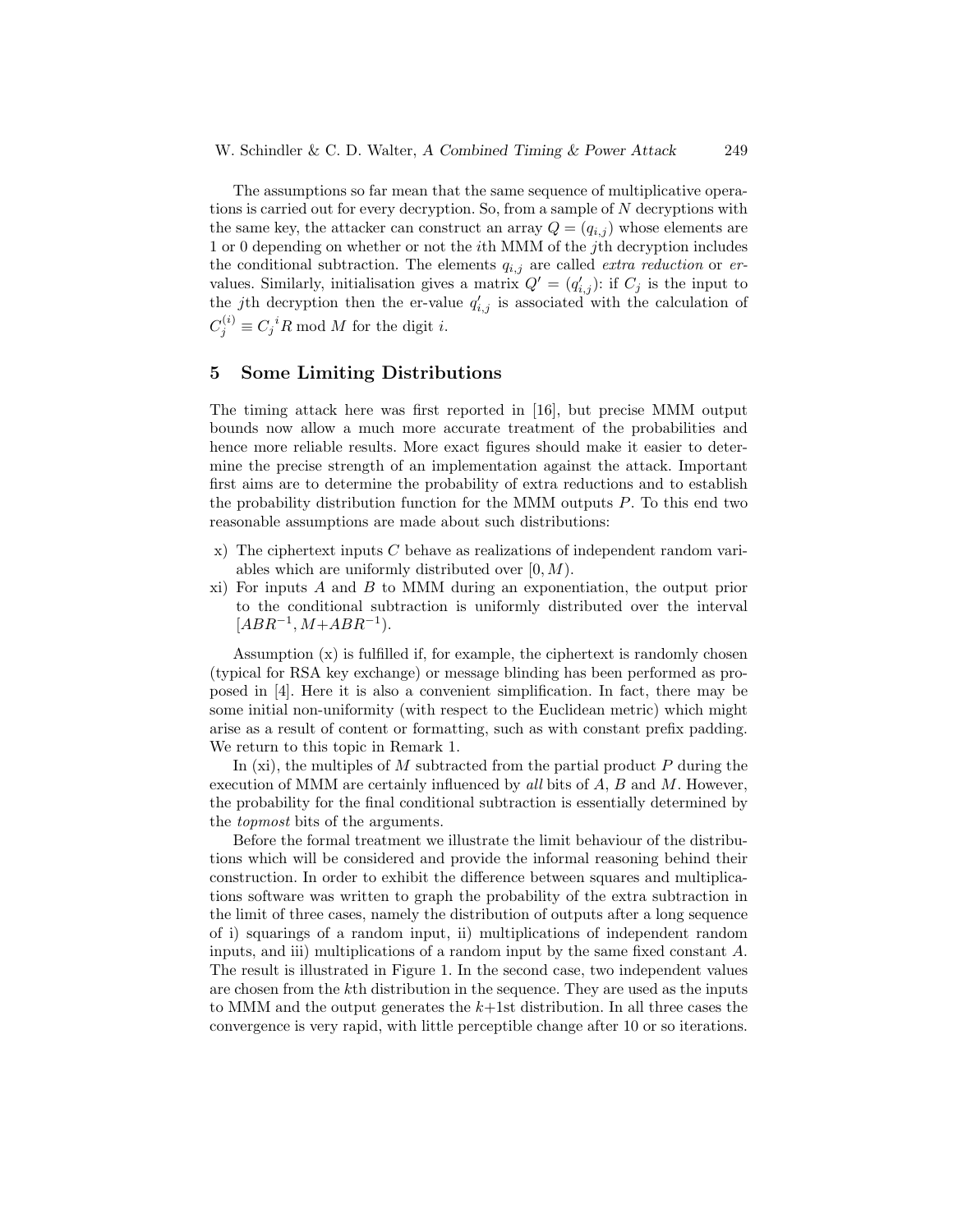The assumptions so far mean that the same sequence of multiplicative operations is carried out for every decryption. So, from a sample of N decryptions with the same key, the attacker can construct an array  $Q = (q_{i,j})$  whose elements are 1 or 0 depending on whether or not the ith MMM of the jth decryption includes the conditional subtraction. The elements  $q_{i,j}$  are called *extra reduction* or ervalues. Similarly, initialisation gives a matrix  $Q' = (q'_{i,j})$ : if  $C_j$  is the input to the jth decryption then the er-value  $q'_{i,j}$  is associated with the calculation of  $C_j^{(i)} \equiv C_j^{\ i} R \bmod M$  for the digit *i*.

#### 5 Some Limiting Distributions

The timing attack here was first reported in [16], but precise MMM output bounds now allow a much more accurate treatment of the probabilities and hence more reliable results. More exact figures should make it easier to determine the precise strength of an implementation against the attack. Important first aims are to determine the probability of extra reductions and to establish the probability distribution function for the MMM outputs  $P$ . To this end two reasonable assumptions are made about such distributions:

- x) The ciphertext inputs  $C$  behave as realizations of independent random variables which are uniformly distributed over  $[0, M)$ .
- xi) For inputs  $A$  and  $B$  to MMM during an exponentiation, the output prior to the conditional subtraction is uniformly distributed over the interval  $[ABR^{-1}, M+ABR^{-1}).$

Assumption (x) is fulfilled if, for example, the ciphertext is randomly chosen (typical for RSA key exchange) or message blinding has been performed as proposed in [4]. Here it is also a convenient simplification. In fact, there may be some initial non-uniformity (with respect to the Euclidean metric) which might arise as a result of content or formatting, such as with constant prefix padding. We return to this topic in Remark 1.

In  $(xi)$ , the multiples of M subtracted from the partial product P during the execution of MMM are certainly influenced by all bits of  $A, B$  and  $M$ . However, the probability for the final conditional subtraction is essentially determined by the topmost bits of the arguments.

Before the formal treatment we illustrate the limit behaviour of the distributions which will be considered and provide the informal reasoning behind their construction. In order to exhibit the difference between squares and multiplications software was written to graph the probability of the extra subtraction in the limit of three cases, namely the distribution of outputs after a long sequence of i) squarings of a random input, ii) multiplications of independent random inputs, and iii) multiplications of a random input by the same fixed constant A. The result is illustrated in Figure 1. In the second case, two independent values are chosen from the kth distribution in the sequence. They are used as the inputs to MMM and the output generates the  $k+1$ st distribution. In all three cases the convergence is very rapid, with little perceptible change after 10 or so iterations.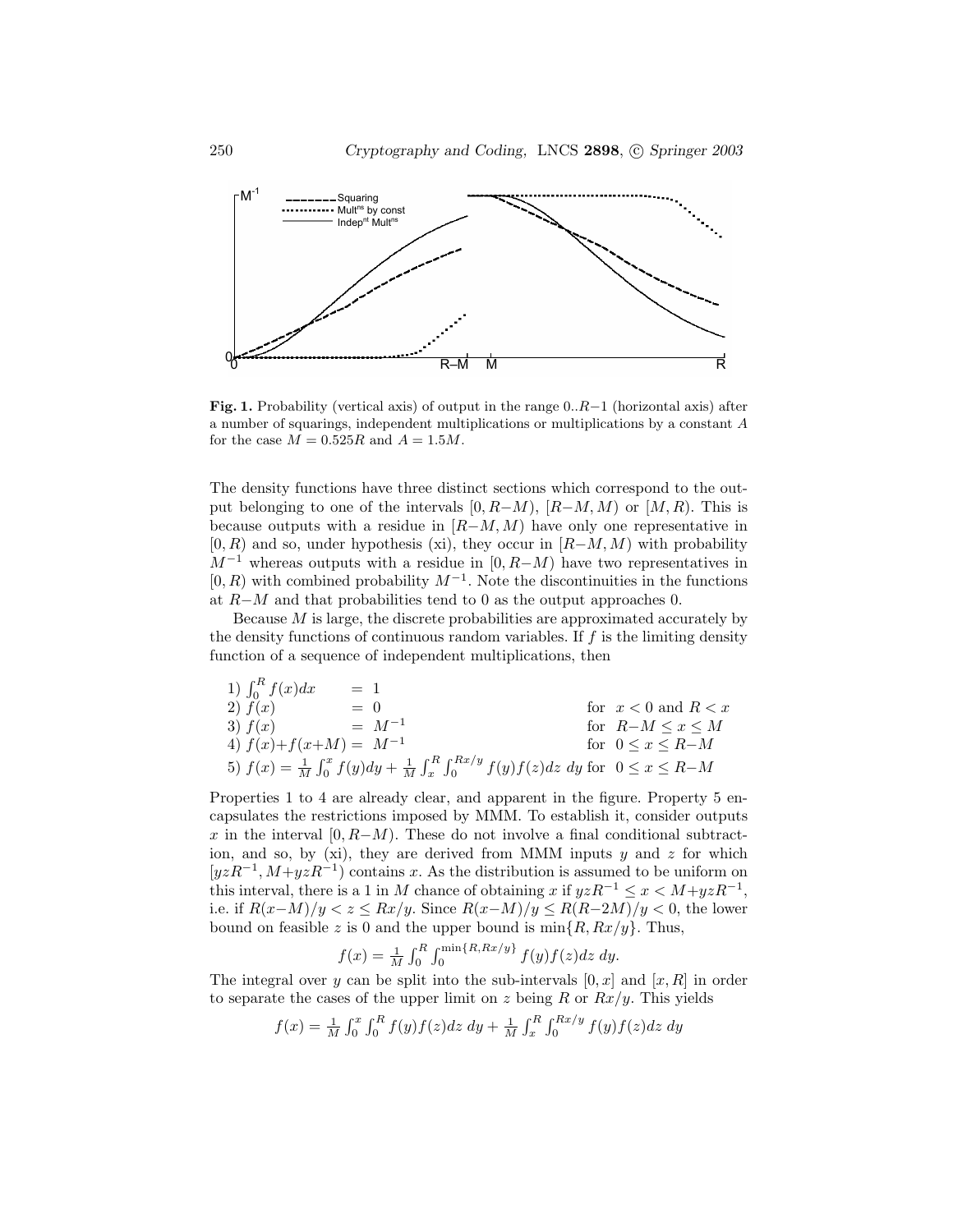

**Fig. 1.** Probability (vertical axis) of output in the range  $0..R-1$  (horizontal axis) after a number of squarings, independent multiplications or multiplications by a constant A for the case  $M = 0.525R$  and  $A = 1.5M$ .

The density functions have three distinct sections which correspond to the output belonging to one of the intervals  $[0, R-M)$ ,  $[R-M, M)$  or  $[M, R)$ . This is because outputs with a residue in  $[R-M, M)$  have only one representative in  $[0, R)$  and so, under hypothesis (xi), they occur in  $[R-M, M)$  with probability  $M^{-1}$  whereas outputs with a residue in [0, R–M) have two representatives in  $[0, R)$  with combined probability  $M^{-1}$ . Note the discontinuities in the functions at R−M and that probabilities tend to 0 as the output approaches 0.

Because M is large, the discrete probabilities are approximated accurately by the density functions of continuous random variables. If f is the limiting density function of a sequence of independent multiplications, then

1) 
$$
\int_0^R f(x) dx = 1
$$
  
\n2)  $f(x) = 0$   
\n3)  $f(x) = M^{-1}$   
\n4)  $f(x) + f(x+M) = M^{-1}$   
\n5)  $f(x) = \frac{1}{M} \int_0^x f(y) dy + \frac{1}{M} \int_x^R \int_0^{Rx/y} f(y) f(z) dz dy$  for  $0 \le x \le R-M$ 

Properties 1 to 4 are already clear, and apparent in the figure. Property 5 encapsulates the restrictions imposed by MMM. To establish it, consider outputs x in the interval  $[0, R-M)$ . These do not involve a final conditional subtraction, and so, by  $(x_i)$ , they are derived from MMM inputs y and z for which  $[yzR^{-1}, M+yzR^{-1}]$  contains x. As the distribution is assumed to be uniform on this interval, there is a 1 in M chance of obtaining x if  $yzR^{-1} \leq x < M + yzR^{-1}$ , i.e. if  $R(x-M)/y < z \leq Rx/y$ . Since  $R(x-M)/y \leq R(R-2M)/y < 0$ , the lower bound on feasible z is 0 and the upper bound is  $\min\{R, Rx/y\}$ . Thus,

$$
f(x) = \frac{1}{M} \int_0^R \int_0^{\min\{R, Rx/y\}} f(y) f(z) dz dy.
$$

The integral over y can be split into the sub-intervals  $[0, x]$  and  $[x, R]$  in order to separate the cases of the upper limit on z being R or  $Rx/y$ . This yields

$$
f(x) = \frac{1}{M} \int_0^x \int_0^R f(y) f(z) dz dy + \frac{1}{M} \int_x^R \int_0^{Rx/y} f(y) f(z) dz dy
$$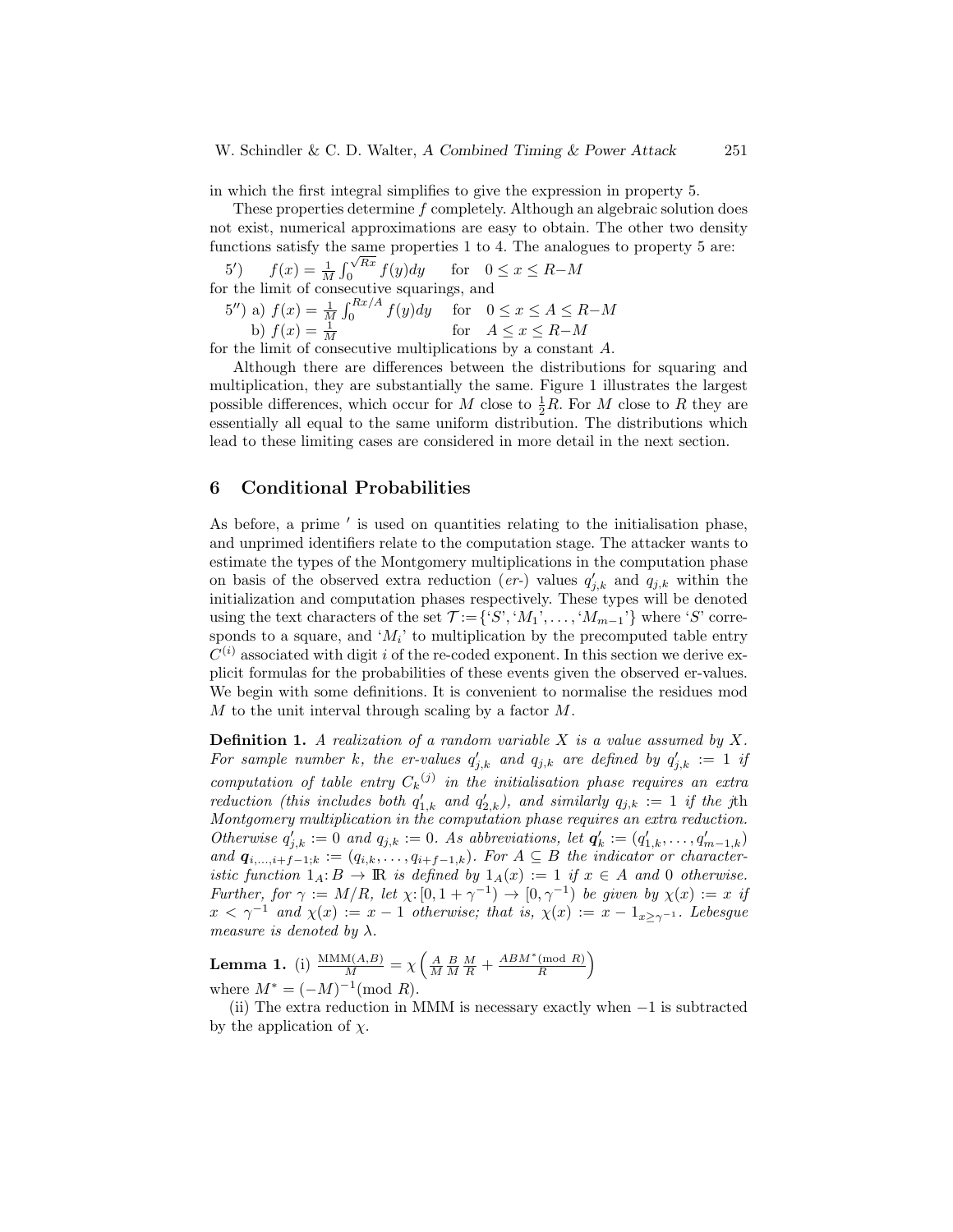in which the first integral simplifies to give the expression in property 5.

These properties determine f completely. Although an algebraic solution does not exist, numerical approximations are easy to obtain. The other two density functions satisfy the same properties 1 to 4. The analogues to property 5 are:  $\frac{\text{56}}{\sqrt{Rx}}$ 

5')  $f(x) = \frac{1}{M} \int$  $\int_0^{\sqrt{hx}} f(y) dy$  for  $0 \le x \le R-M$ for the limit of consecutive squarings, and

5'') a)  $f(x) = \frac{1}{M} \int_0^{Rx/A} f(y) dy$  for  $0 \le x \le A \le R-M$ b)  $f(x) = \frac{1}{M}$  for  $A \le x \le R-M$ 

for the limit of consecutive multiplications by a constant A.

Although there are differences between the distributions for squaring and multiplication, they are substantially the same. Figure 1 illustrates the largest possible differences, which occur for M close to  $\frac{1}{2}R$ . For M close to R they are essentially all equal to the same uniform distribution. The distributions which lead to these limiting cases are considered in more detail in the next section.

## 6 Conditional Probabilities

As before, a prime  $'$  is used on quantities relating to the initialisation phase, and unprimed identifiers relate to the computation stage. The attacker wants to estimate the types of the Montgomery multiplications in the computation phase on basis of the observed extra reduction (er-) values  $q'_{j,k}$  and  $q_{j,k}$  within the initialization and computation phases respectively. These types will be denoted using the text characters of the set  $\mathcal{T} := \{^{\cdot}S^{\cdot}, \cdot M_1^{\cdot}, \ldots, \cdot M_{m-1}^{\cdot} \}$  where  $^{\cdot}S^{\cdot}$  corresponds to a square, and  $M_i$ ' to multiplication by the precomputed table entry  $C^{(i)}$  associated with digit i of the re-coded exponent. In this section we derive explicit formulas for the probabilities of these events given the observed er-values. We begin with some definitions. It is convenient to normalise the residues mod  $M$  to the unit interval through scaling by a factor  $M$ .

**Definition 1.** A realization of a random variable  $X$  is a value assumed by  $X$ . For sample number k, the er-values  $q'_{j,k}$  and  $q_{j,k}$  are defined by  $q'_{j,k} := 1$  if computation of table entry  $C_k$ <sup>(j)</sup> in the initialisation phase requires an extra reduction (this includes both  $q'_{1,k}$  and  $q'_{2,k}$ ), and similarly  $q_{j,k} := 1$  if the jth Montgomery multiplication in the computation phase requires an extra reduction. Otherwise  $q'_{j,k} := 0$  and  $q_{j,k} := 0$ . As abbreviations, let  $q'_{k} := (q'_{1,k}, \ldots, q'_{m-1,k})$ and  $q_{i,\dots,i+f-1;k} := (q_{i,k},\dots,q_{i+f-1,k})$ . For  $A \subseteq B$  the indicator or characteristic function  $1_A: B \to \mathbb{R}$  is defined by  $1_A(x) := 1$  if  $x \in A$  and 0 otherwise. Further, for  $\gamma := M/R$ , let  $\chi: [0, 1 + \gamma^{-1}) \to [0, \gamma^{-1})$  be given by  $\chi(x) := x$  if  $x < \gamma^{-1}$  and  $\chi(x) := x - 1$  otherwise; that is,  $\chi(x) := x - 1$ <sub>x> $\gamma^{-1}$ </sub>. Lebesgue measure is denoted by  $\lambda.$ 

**Lemma 1.** (i)  $\frac{\text{MMM}(A,B)}{M} = \chi \left( \frac{A}{M} \frac{B}{M} \frac{M}{R} + \frac{ABM^*(\text{mod } R)}{R} \right)$  $\frac{\pmod{R}}{R}$ where  $M^* = (-M)^{-1} \pmod{R}$ .

(ii) The extra reduction in MMM is necessary exactly when  $-1$  is subtracted by the application of  $\chi$ .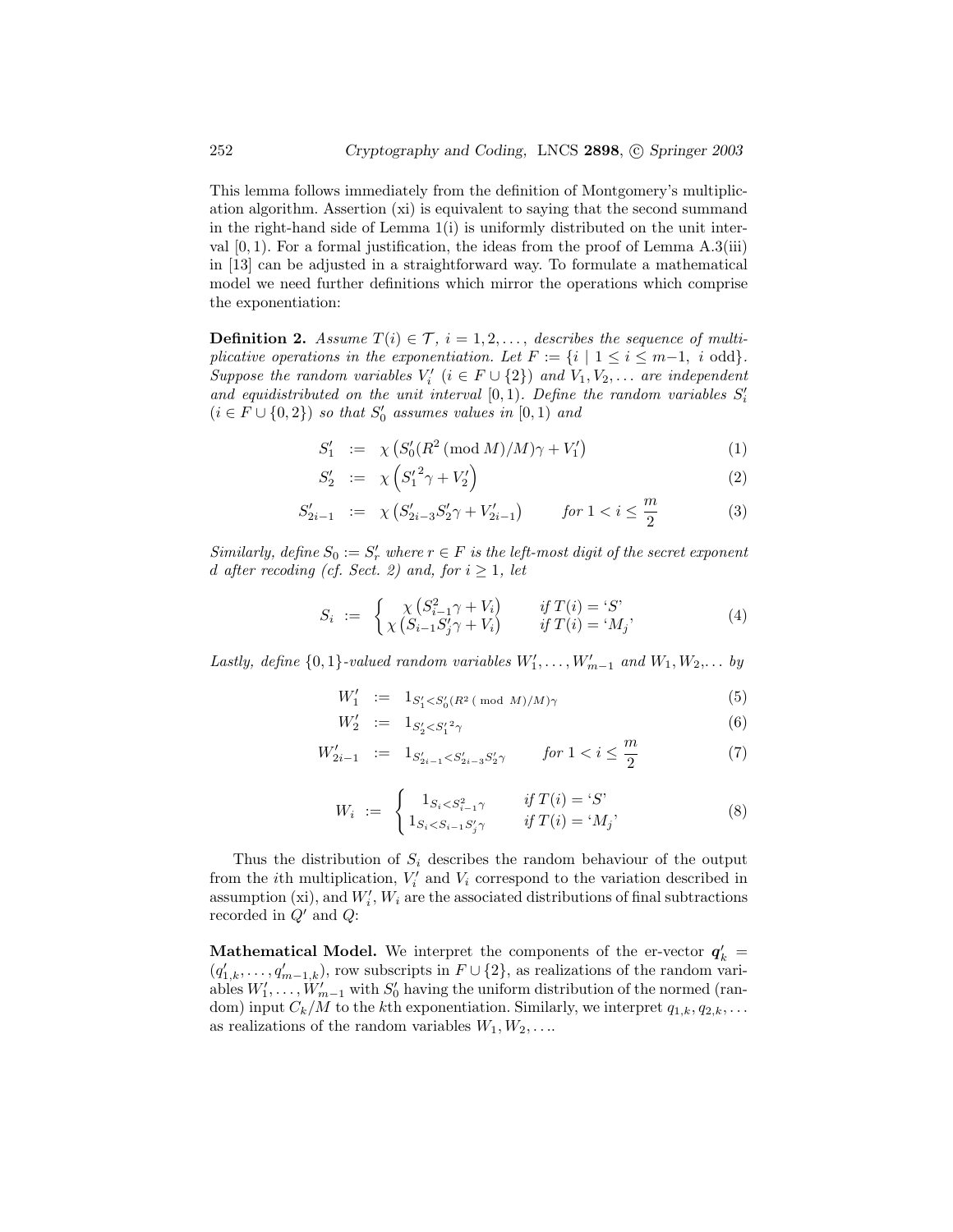This lemma follows immediately from the definition of Montgomery's multiplication algorithm. Assertion (xi) is equivalent to saying that the second summand in the right-hand side of Lemma  $1(i)$  is uniformly distributed on the unit interval  $[0, 1)$ . For a formal justification, the ideas from the proof of Lemma A.3(iii) in [13] can be adjusted in a straightforward way. To formulate a mathematical model we need further definitions which mirror the operations which comprise the exponentiation:

**Definition 2.** Assume  $T(i) \in \mathcal{T}$ ,  $i = 1, 2, \ldots$ , describes the sequence of multiplicative operations in the exponentiation. Let  $F := \{i \mid 1 \le i \le m-1, i \text{ odd}\}.$ Suppose the random variables  $V'_i$   $(i \in F \cup \{2\})$  and  $V_1, V_2, \ldots$  are independent and equidistributed on the unit interval  $[0,1)$ . Define the random variables  $S_i'$  $(i \in F \cup \{0,2\})$  so that  $S'_0$  assumes values in  $[0,1)$  and

$$
S_1' := \chi \left( S_0' (R^2 \, (\text{mod } M) / M) \gamma + V_1' \right) \tag{1}
$$

$$
S_2' := \chi \left( S_1'^2 \gamma + V_2' \right) \tag{2}
$$

$$
S'_{2i-1} := \chi \left( S'_{2i-3} S'_2 \gamma + V'_{2i-1} \right) \qquad \text{for } 1 < i \le \frac{m}{2} \tag{3}
$$

Similarly, define  $S_0 := S'_r$  where  $r \in F$  is the left-most digit of the secret exponent d after recoding (cf. Sect. 2) and, for  $i \geq 1$ , let

$$
S_i := \begin{cases} \chi(S_{i-1}^2 \gamma + V_i) & \text{if } T(i) = S' \\ \chi(S_{i-1} S'_j \gamma + V_i) & \text{if } T(i) = M_j' \end{cases}
$$
 (4)

Lastly, define  $\{0,1\}$ -valued random variables  $W'_1, \ldots, W'_{m-1}$  and  $W_1, W_2, \ldots$  by

$$
W_1' := 1_{S_1' < S_0'(R^2 \pmod{M})/M)\gamma} \tag{5}
$$

$$
W_2' \ := \ 1_{S_2' < S_1'^2 \gamma} \tag{6}
$$

$$
W'_{2i-1} := 1_{S'_{2i-1} < S'_{2i-3} S'_2 \gamma} \qquad \text{for } 1 < i \le \frac{m}{2} \tag{7}
$$

$$
W_i := \begin{cases} 1_{S_i < S_{i-1}^2 \gamma} & \text{if } T(i) = 'S' \\ 1_{S_i < S_{i-1} S'_j \gamma} & \text{if } T(i) = 'M_j' \end{cases} \tag{8}
$$

Thus the distribution of  $S_i$  describes the random behaviour of the output from the *i*th multiplication,  $V_i'$  and  $V_i$  correspond to the variation described in assumption (xi), and  $W_i'$ ,  $W_i$  are the associated distributions of final subtractions recorded in  $Q'$  and  $Q$ :

**Mathematical Model.** We interpret the components of the er-vector  $q'_{k}$  $(q'_{1,k},\ldots,q'_{m-1,k})$ , row subscripts in  $F\cup\{2\}$ , as realizations of the random variables  $W'_1, \ldots, W'_{m-1}$  with  $S'_0$  having the uniform distribution of the normed (random) input  $C_k/M$  to the kth exponentiation. Similarly, we interpret  $q_{1,k}, q_{2,k}, \ldots$ as realizations of the random variables  $W_1, W_2, \ldots$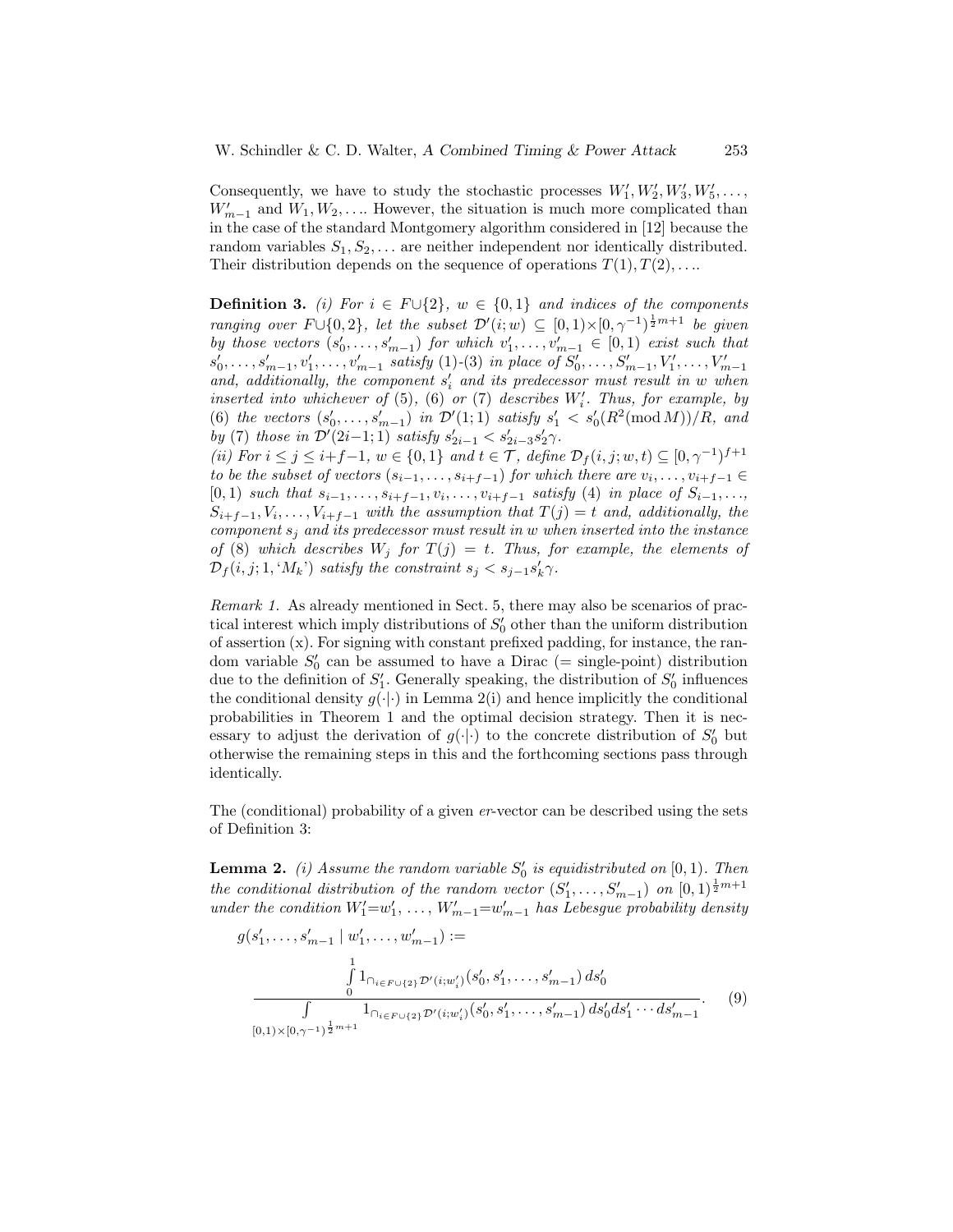Consequently, we have to study the stochastic processes  $W'_1, W'_2, W'_3, W'_5, \ldots$ ,  $W'_{m-1}$  and  $W_1, W_2, \ldots$  However, the situation is much more complicated than in the case of the standard Montgomery algorithm considered in [12] because the random variables  $S_1, S_2, \ldots$  are neither independent nor identically distributed. Their distribution depends on the sequence of operations  $T(1), T(2), \ldots$ 

**Definition 3.** (i) For  $i \in F \cup \{2\}$ ,  $w \in \{0,1\}$  and indices of the components ranging over  $F \cup \{0,2\}$ , let the subset  $\mathcal{D}'(i;w) \subseteq [0,1) \times [0,\gamma^{-1}]^{\frac{1}{2}m+1}$  be given by those vectors  $(s'_0, \ldots, s'_{m-1})$  for which  $v'_1, \ldots, v'_{m-1} \in [0,1)$  exist such that  $s'_0, \ldots, s'_{m-1}, v'_1, \ldots, v'_{m-1}$  satisfy (1)-(3) in place of  $S'_0, \ldots, S'_{m-1}, V'_1, \ldots, V'_{m-1}$ and, additionally, the component  $s_i'$  and its predecessor must result in w when inserted into whichever of  $(5)$ ,  $(6)$  or  $(7)$  describes  $W_i'$ . Thus, for example, by (6) the vectors  $(s'_0, \ldots, s'_{m-1})$  in  $\mathcal{D}'(1; 1)$  satisfy  $s'_1 < s'_0(R^2(\text{mod }M))/R$ , and by (7) those in  $\mathcal{D}'(2i-1; 1)$  satisfy  $s'_{2i-1} < s'_{2i-3} s'_{2} \gamma$ .

(ii) For  $i \leq j \leq i+f-1$ ,  $w \in \{0,1\}$  and  $t \in \mathcal{T}$ , define  $\mathcal{D}_f(i,j;w,t) \subseteq [0,\gamma^{-1})^{f+1}$ to be the subset of vectors  $(s_{i-1},...,s_{i+f-1})$  for which there are  $v_i,...,v_{i+f-1} \in$  $[0,1)$  such that  $s_{i-1}, \ldots, s_{i+f-1}, v_i, \ldots, v_{i+f-1}$  satisfy (4) in place of  $S_{i-1}, \ldots,$  $S_{i+f-1}, V_i, \ldots, V_{i+f-1}$  with the assumption that  $T(j) = t$  and, additionally, the component  $s_j$  and its predecessor must result in w when inserted into the instance of (8) which describes  $W_j$  for  $T(j) = t$ . Thus, for example, the elements of  $\mathcal{D}_f(i,j;1, \mathcal{M}_k)$  satisfy the constraint  $s_j < s_{j-1} s'_k \gamma$ .

Remark 1. As already mentioned in Sect. 5, there may also be scenarios of practical interest which imply distributions of  $S'_{0}$  other than the uniform distribution of assertion (x). For signing with constant prefixed padding, for instance, the random variable  $S'_0$  can be assumed to have a Dirac (= single-point) distribution due to the definition of  $S'_1$ . Generally speaking, the distribution of  $S'_0$  influences the conditional density  $g(\cdot|\cdot)$  in Lemma 2(i) and hence implicitly the conditional probabilities in Theorem 1 and the optimal decision strategy. Then it is necessary to adjust the derivation of  $g(\cdot|\cdot)$  to the concrete distribution of  $S'_{0}$  but otherwise the remaining steps in this and the forthcoming sections pass through identically.

The (conditional) probability of a given er-vector can be described using the sets of Definition 3:

**Lemma 2.** (i) Assume the random variable  $S'_0$  is equidistributed on  $[0,1)$ . Then the conditional distribution of the random vector  $(S'_1, \ldots, S'_{m-1})$  on  $[0,1)^{\frac{1}{2}m+1}$ under the condition  $W'_1 = w'_1, \ldots, W'_{m-1} = w'_{m-1}$  has Lebesgue probability density

$$
g(s'_1, \ldots, s'_{m-1} \mid w'_1, \ldots, w'_{m-1}) :=
$$
  

$$
\int_{0}^{1} 1_{\cap_{i \in F \cup \{2\}} \mathcal{D}'(i; w'_i)}(s'_0, s'_1, \ldots, s'_{m-1}) ds'_0
$$
  

$$
\int_{[0,1) \times [0,\gamma^{-1}]^{\frac{1}{2}m+1}} 1_{\cap_{i \in F \cup \{2\}} \mathcal{D}'(i; w'_i)}(s'_0, s'_1, \ldots, s'_{m-1}) ds'_0 ds'_1 \cdots ds'_{m-1}.
$$
 (9)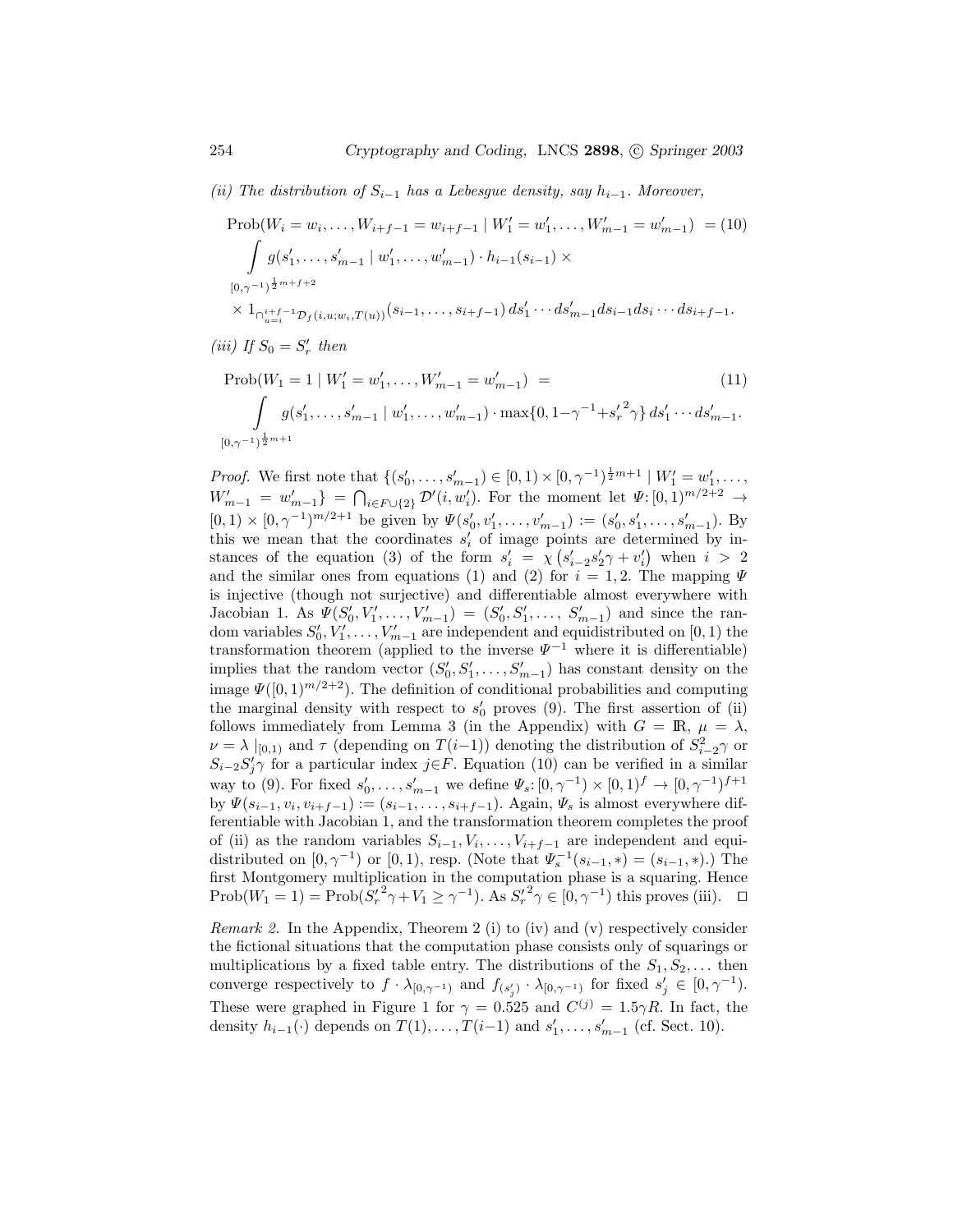(ii) The distribution of  $S_{i-1}$  has a Lebesgue density, say  $h_{i-1}$ . Moreover,

$$
\text{Prob}(W_i = w_i, \dots, W_{i+f-1} = w_{i+f-1} \mid W'_1 = w'_1, \dots, W'_{m-1} = w'_{m-1}) = (10)
$$
\n
$$
\int g(s'_1, \dots, s'_{m-1} \mid w'_1, \dots, w'_{m-1}) \cdot h_{i-1}(s_{i-1}) \times
$$
\n
$$
\frac{[0, \gamma^{-1})^{\frac{1}{2}m+f+2}}{\chi \mathbf{1}_{\bigcap_{u=i}^{i+f-1} D_f(i, u; w_i, T(u))} (s_{i-1}, \dots, s_{i+f-1}) \, ds'_1 \cdots ds'_{m-1} ds_{i-1} ds_i \cdots ds_{i+f-1}}.
$$

$$
(iii) \ If \ S_0 = S'_r \ then
$$

$$
\text{Prob}(W_1 = 1 \mid W_1' = w_1', \dots, W_{m-1}' = w_{m-1}') =
$$
\n
$$
\int g(s_1', \dots, s_{m-1}' \mid w_1', \dots, w_{m-1}') \cdot \max\{0, 1 - \gamma^{-1} + s_r'^2 \gamma\} ds_1' \dots ds_{m-1}'.
$$
\n
$$
[0, \gamma^{-1})^{\frac{1}{2}m+1}
$$
\n(11)

*Proof.* We first note that  $\{(s'_0, \ldots, s'_{m-1}) \in [0, 1) \times [0, \gamma^{-1})^{\frac{1}{2}m+1} \mid W'_1 = w'_1, \ldots,$  $W'_{m-1} = w'_{m-1}$  =  $\bigcap_{i \in F \cup \{2\}} \mathcal{D}'(i, w'_i)$ . For the moment let  $\Psi: [0, 1)^{m/2+2} \to$  $[0,1) \times [0,\gamma^{-1})^{m/2+1}$  be given by  $\Psi(s'_0,v'_1,\ldots,v'_{m-1}) := (s'_0,s'_1,\ldots,s'_{m-1})$ . By this we mean that the coordinates  $s_i'$  of image points are determined by instances of the equation (3) of the form  $s_i' = \chi (s_{i-2}'s_2' \gamma + v_i')$  when  $i > 2$ and the similar ones from equations (1) and (2) for  $i = 1, 2$ . The mapping  $\Psi$ is injective (though not surjective) and differentiable almost everywhere with Jacobian 1. As  $\Psi(S'_0, V'_1, \ldots, V'_{m-1}) = (S'_0, S'_1, \ldots, S'_{m-1})$  and since the random variables  $S'_0, V'_1, \ldots, V'_{m-1}$  are independent and equidistributed on [0, 1) the transformation theorem (applied to the inverse  $\Psi^{-1}$  where it is differentiable) implies that the random vector  $(S'_0, S'_1, \ldots, S'_{m-1})$  has constant density on the image  $\Psi([0,1]^{m/2+2})$ . The definition of conditional probabilities and computing the marginal density with respect to  $s'_{0}$  proves (9). The first assertion of (ii) follows immediately from Lemma 3 (in the Appendix) with  $G = \mathbb{R}, \mu = \lambda$ ,  $\nu = \lambda |_{[0,1)}$  and  $\tau$  (depending on  $T(i-1)$ ) denoting the distribution of  $S_{i-2}^2 \gamma$  or  $S_{i-2}S'_j\gamma$  for a particular index j∈F. Equation (10) can be verified in a similar way to (9). For fixed  $s'_0, \ldots, s'_{m-1}$  we define  $\Psi_s: [0, \gamma^{-1}) \times [0, 1)^f \to [0, \gamma^{-1})^{f+1}$ by  $\Psi(s_{i-1}, v_i, v_{i+f-1}) := (s_{i-1}, \ldots, s_{i+f-1})$ . Again,  $\Psi_s$  is almost everywhere differentiable with Jacobian 1, and the transformation theorem completes the proof of (ii) as the random variables  $S_{i-1}, V_i, \ldots, V_{i+f-1}$  are independent and equidistributed on  $[0, \gamma^{-1})$  or  $[0, 1)$ , resp. (Note that  $\Psi_s^{-1}(s_{i-1}, *) = (s_{i-1}, *)$ .) The first Montgomery multiplication in the computation phase is a squaring. Hence Prob( $W_1 = 1$ ) = Prob( $S'_r^2 \gamma + V_1 \ge \gamma^{-1}$ ). As  $S'_r^2 \gamma \in [0, \gamma^{-1})$  this proves (iii). □

Remark 2. In the Appendix, Theorem 2 (i) to (iv) and (v) respectively consider the fictional situations that the computation phase consists only of squarings or multiplications by a fixed table entry. The distributions of the  $S_1, S_2, \ldots$  then converge respectively to  $f \cdot \lambda_{[0,\gamma^{-1})}$  and  $f_{(s'_j)} \cdot \lambda_{[0,\gamma^{-1})}$  for fixed  $s'_j \in [0,\gamma^{-1})$ . These were graphed in Figure 1 for  $\gamma = 0.525$  and  $C^{(j)} = 1.5\gamma R$ . In fact, the density  $h_{i-1}(\cdot)$  depends on  $T(1), \ldots, T(i-1)$  and  $s'_1, \ldots, s'_{m-1}$  (cf. Sect. 10).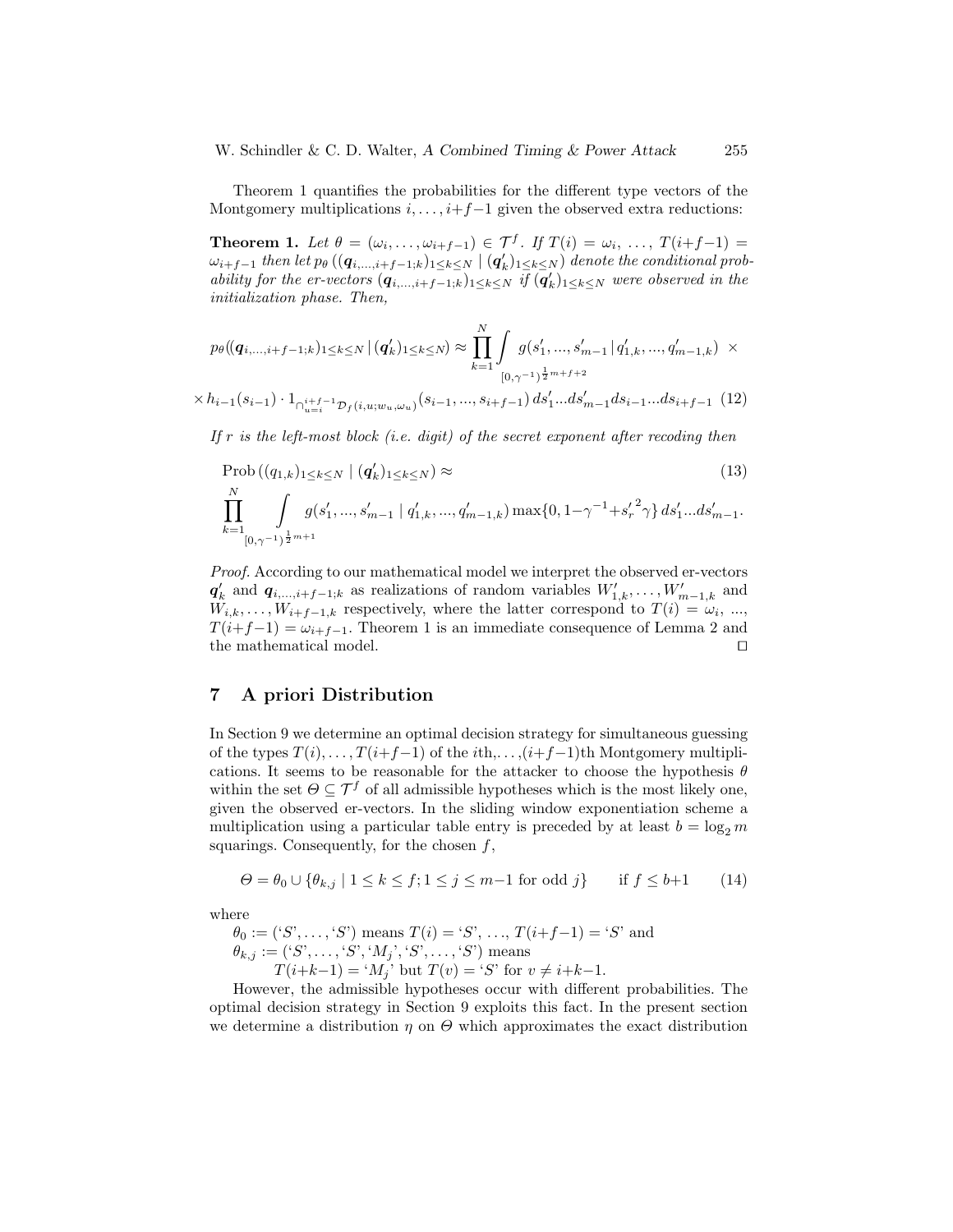W. Schindler & C. D. Walter, A Combined Timing & Power Attack 255

Theorem 1 quantifies the probabilities for the different type vectors of the Montgomery multiplications  $i, \ldots, i+f-1$  given the observed extra reductions:

**Theorem 1.** Let  $\theta = (\omega_i, \dots, \omega_{i+f-1}) \in \mathcal{T}^f$ . If  $T(i) = \omega_i, \dots, T(i+f-1) =$  $\omega_{i+f-1}$  then let  $p_\theta$   $((\bm{q}_{i,...,i+f-1;k})_{1\leq k\leq N}\mid(\bm{q}'_k)_{1\leq k\leq N})$  denote the conditional probability for the er-vectors  $(q_{i,\dots,i+f-1,k})_{1\leq k\leq N}$  if  $(q_k')_{1\leq k\leq N}$  were observed in the initialization phase. Then,

$$
p_{\theta}((\mathbf{q}_{i,...,i+f-1;k})_{1\leq k\leq N} | (\mathbf{q}'_{k})_{1\leq k\leq N}) \approx \prod_{k=1}^{N} \int_{[0,\gamma^{-1})^{\frac{1}{2}m+f+2}} g(s'_{1},...,s'_{m-1}| q'_{1,k},...,q'_{m-1,k}) \times
$$

 $\times\, h_{i-1}(s_{i-1}) \cdot 1_{\cap_{u=i}^{i+f-1} \mathcal{D}_f(i,u;w_u,\omega_u)}(s_{i-1},...,s_{i+f-1}) \, ds'_1...ds'_{m-1} ds_{i-1}...ds_{i+f-1} \ \, (12)$ 

If  $r$  is the left-most block (i.e. digit) of the secret exponent after recoding then

$$
\text{Prob}\left((q_{1,k})_{1\leq k\leq N} \mid (q'_k)_{1\leq k\leq N}\right) \approx \tag{13}
$$
\n
$$
\prod_{k=1}^N \int\limits_{[0,\gamma^{-1})^{\frac{1}{2}m+1}} g(s'_1, ..., s'_{m-1} \mid q'_{1,k}, ..., q'_{m-1,k}) \max\{0, 1-\gamma^{-1}+{s'_r}^2\gamma\} ds'_1...ds'_{m-1}.
$$

Proof. According to our mathematical model we interpret the observed er-vectors  $q'_{k}$  and  $q_{i,\dots,i+f-1;k}$  as realizations of random variables  $W'_{1,k},\dots,W'_{m-1,k}$  and  $W_{i,k}, \ldots, W_{i+f-1,k}$  respectively, where the latter correspond to  $T(i) = \omega_i, \ldots,$  $T(i+f-1) = \omega_{i+f-1}$ . Theorem 1 is an immediate consequence of Lemma 2 and the mathematical model.  $\Box$ 

#### 7 A priori Distribution

In Section 9 we determine an optimal decision strategy for simultaneous guessing of the types  $T(i), \ldots, T(i+f-1)$  of the  $ith, \ldots, (i+f-1)$ th Montgomery multiplications. It seems to be reasonable for the attacker to choose the hypothesis  $\theta$ within the set  $\Theta \subseteq \mathcal{T}^f$  of all admissible hypotheses which is the most likely one, given the observed er-vectors. In the sliding window exponentiation scheme a multiplication using a particular table entry is preceded by at least  $b = \log_2 m$ squarings. Consequently, for the chosen  $f$ ,

$$
\Theta = \theta_0 \cup \{ \theta_{k,j} \mid 1 \le k \le f; 1 \le j \le m-1 \text{ for odd } j \} \quad \text{if } f \le b+1 \tag{14}
$$

where

 $\theta_0 := ('S', \ldots, 'S')$  means  $T(i) = 'S', \ldots, T(i+f-1) = 'S'$  and  $\theta_{k,j} := (S', \ldots, S', M_j', S', \ldots, S')$  means  $T(i+k-1) = 'M_i'$  but  $T(v) = 'S'$  for  $v \neq i+k-1$ .

However, the admissible hypotheses occur with different probabilities. The optimal decision strategy in Section 9 exploits this fact. In the present section we determine a distribution  $\eta$  on  $\Theta$  which approximates the exact distribution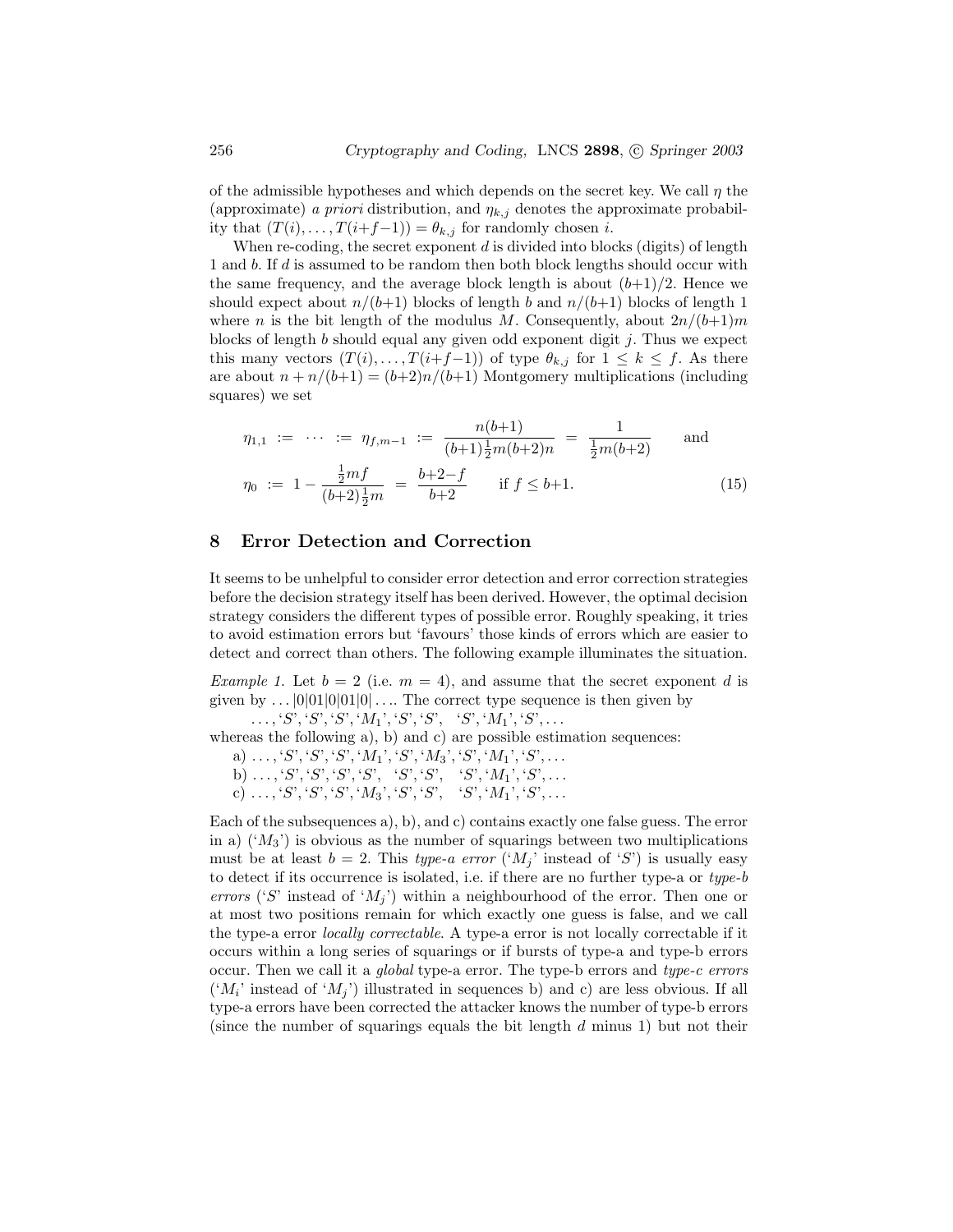of the admissible hypotheses and which depends on the secret key. We call  $\eta$  the (approximate) a priori distribution, and  $\eta_{k,j}$  denotes the approximate probability that  $(T(i),..., T(i+f-1)) = \theta_{k,j}$  for randomly chosen *i*.

When re-coding, the secret exponent  $d$  is divided into blocks (digits) of length 1 and b. If d is assumed to be random then both block lengths should occur with the same frequency, and the average block length is about  $(b+1)/2$ . Hence we should expect about  $n/(b+1)$  blocks of length b and  $n/(b+1)$  blocks of length 1 where n is the bit length of the modulus M. Consequently, about  $2n/(b+1)m$ blocks of length  $b$  should equal any given odd exponent digit  $j$ . Thus we expect this many vectors  $(T(i),...,T(i+f-1))$  of type  $\theta_{k,j}$  for  $1 \leq k \leq f$ . As there are about  $n + n/(b+1) = (b+2)n/(b+1)$  Montgomery multiplications (including squares) we set

$$
\eta_{1,1} := \cdots := \eta_{f,m-1} := \frac{n(b+1)}{(b+1)\frac{1}{2}m(b+2)n} = \frac{1}{\frac{1}{2}m(b+2)} \quad \text{and}
$$
\n
$$
\eta_0 := 1 - \frac{\frac{1}{2}mf}{(b+2)\frac{1}{2}m} = \frac{b+2-f}{b+2} \quad \text{if } f \le b+1. \tag{15}
$$

#### 8 Error Detection and Correction

It seems to be unhelpful to consider error detection and error correction strategies before the decision strategy itself has been derived. However, the optimal decision strategy considers the different types of possible error. Roughly speaking, it tries to avoid estimation errors but 'favours' those kinds of errors which are easier to detect and correct than others. The following example illuminates the situation.

Example 1. Let  $b = 2$  (i.e.  $m = 4$ ), and assume that the secret exponent d is given by  $\dots$   $|0|01|0|01|0| \dots$  The correct type sequence is then given by  $\ldots, S', S', S', S', M_1', S', S', S', M_1', S', \ldots$ 

whereas the following a), b) and c) are possible estimation sequences:

a)  $\dots$ , 'S', 'S', 'S', 'M<sub>1</sub>', 'S', 'M<sub>3</sub>', 'S', 'M<sub>1</sub>', 'S', ...

b) . . . , 'S', 'S', 'S', 'S', 'S', 'S', 'S', 'M1', 'S', . . .

 $(c) \ldots, S', S', S', S', M_3', S', S', S', \quad S', M_1', S', \ldots$ 

Each of the subsequences a), b), and c) contains exactly one false guess. The error in a)  $(M_3)$  is obvious as the number of squarings between two multiplications must be at least  $b = 2$ . This type-a error (' $M_i$ ' instead of 'S') is usually easy to detect if its occurrence is isolated, i.e. if there are no further type-a or type-b errors ('S' instead of ' $M_i$ ') within a neighbourhood of the error. Then one or at most two positions remain for which exactly one guess is false, and we call the type-a error locally correctable. A type-a error is not locally correctable if it occurs within a long series of squarings or if bursts of type-a and type-b errors occur. Then we call it a global type-a error. The type-b errors and type-c errors  $({}^{\iota}M_i$  instead of  ${}^{\iota}M_j$  illustrated in sequences b) and c) are less obvious. If all type-a errors have been corrected the attacker knows the number of type-b errors (since the number of squarings equals the bit length  $d$  minus 1) but not their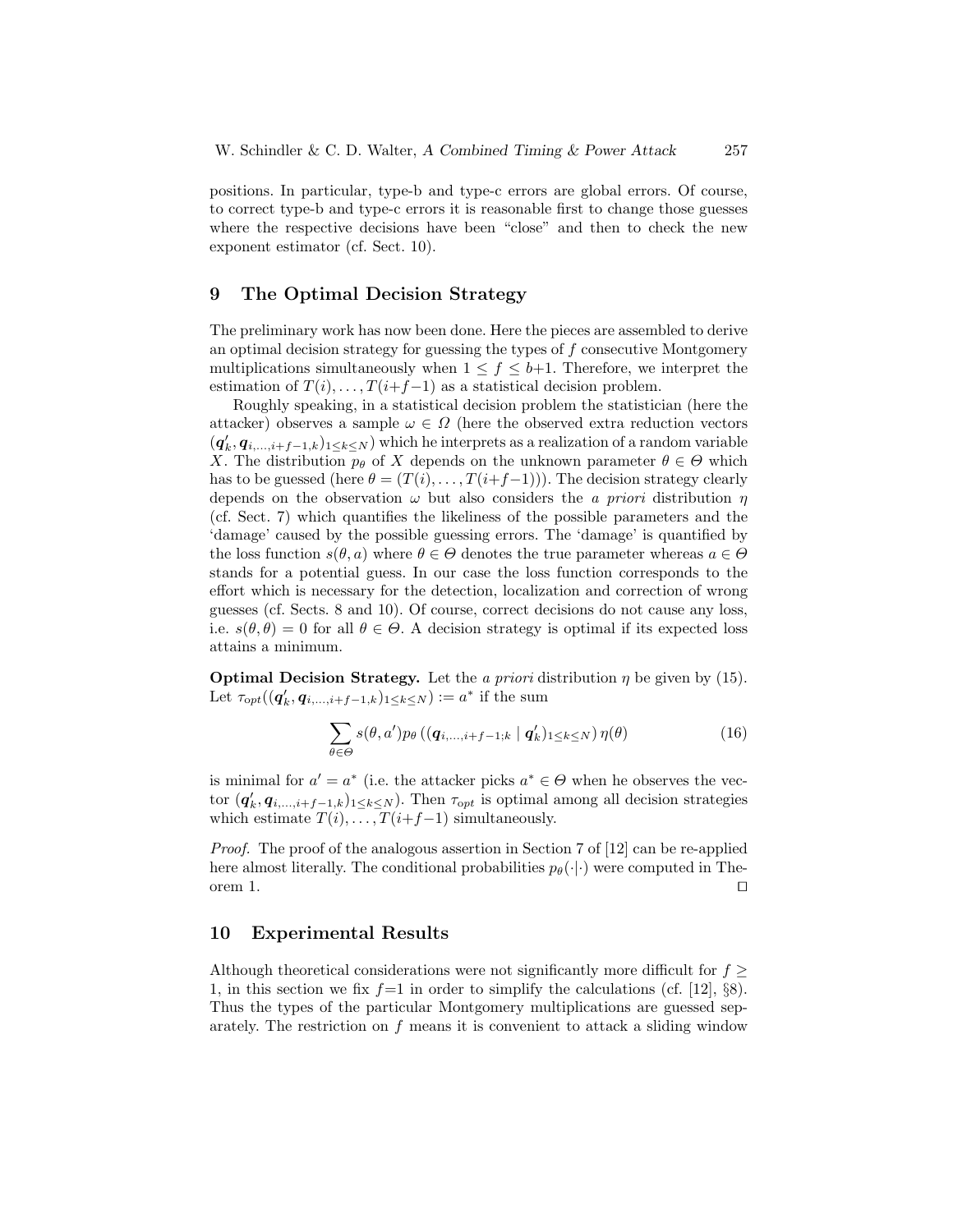positions. In particular, type-b and type-c errors are global errors. Of course, to correct type-b and type-c errors it is reasonable first to change those guesses where the respective decisions have been "close" and then to check the new exponent estimator (cf. Sect. 10).

## 9 The Optimal Decision Strategy

The preliminary work has now been done. Here the pieces are assembled to derive an optimal decision strategy for guessing the types of  $f$  consecutive Montgomery multiplications simultaneously when  $1 \leq f \leq b+1$ . Therefore, we interpret the estimation of  $T(i), \ldots, T(i+f-1)$  as a statistical decision problem.

Roughly speaking, in a statistical decision problem the statistician (here the attacker) observes a sample  $\omega \in \Omega$  (here the observed extra reduction vectors  $(q'_k, q_{i,\dots,i+f-1,k})_{1\leq k\leq N}$  which he interprets as a realization of a random variable X. The distribution  $p_{\theta}$  of X depends on the unknown parameter  $\theta \in \Theta$  which has to be guessed (here  $\theta = (T(i), \ldots, T(i+f-1))$ ). The decision strategy clearly depends on the observation  $\omega$  but also considers the *a priori* distribution  $\eta$ (cf. Sect. 7) which quantifies the likeliness of the possible parameters and the 'damage' caused by the possible guessing errors. The 'damage' is quantified by the loss function  $s(\theta, a)$  where  $\theta \in \Theta$  denotes the true parameter whereas  $a \in \Theta$ stands for a potential guess. In our case the loss function corresponds to the effort which is necessary for the detection, localization and correction of wrong guesses (cf. Sects. 8 and 10). Of course, correct decisions do not cause any loss, i.e.  $s(\theta, \theta) = 0$  for all  $\theta \in \Theta$ . A decision strategy is optimal if its expected loss attains a minimum.

**Optimal Decision Strategy.** Let the a priori distribution  $\eta$  be given by (15). Let  $\tau_{\mathrm opt}((\boldsymbol{q}'_k,\boldsymbol{q}_{i,\dots,i+f-1,k})_{1\leq k\leq N}) := a^*$  if the sum

$$
\sum_{\theta \in \Theta} s(\theta, a') p_{\theta} \left( (\boldsymbol{q}_{i, \dots, i+f-1; k} \mid \boldsymbol{q}'_{k})_{1 \leq k \leq N} \right) \eta(\theta) \tag{16}
$$

is minimal for  $a' = a^*$  (i.e. the attacker picks  $a^* \in \Theta$  when he observes the vector  $(q'_k, q_{i,\dots,i+f-1,k})_{1\leq k\leq N}$ . Then  $\tau_{opt}$  is optimal among all decision strategies which estimate  $T(i), \ldots, T(i+f-1)$  simultaneously.

Proof. The proof of the analogous assertion in Section 7 of [12] can be re-applied here almost literally. The conditional probabilities  $p_{\theta}(\cdot|\cdot)$  were computed in Theorem 1.

### 10 Experimental Results

Although theoretical considerations were not significantly more difficult for  $f \geq$ 1, in this section we fix  $f=1$  in order to simplify the calculations (cf. [12], §8). Thus the types of the particular Montgomery multiplications are guessed separately. The restriction on f means it is convenient to attack a sliding window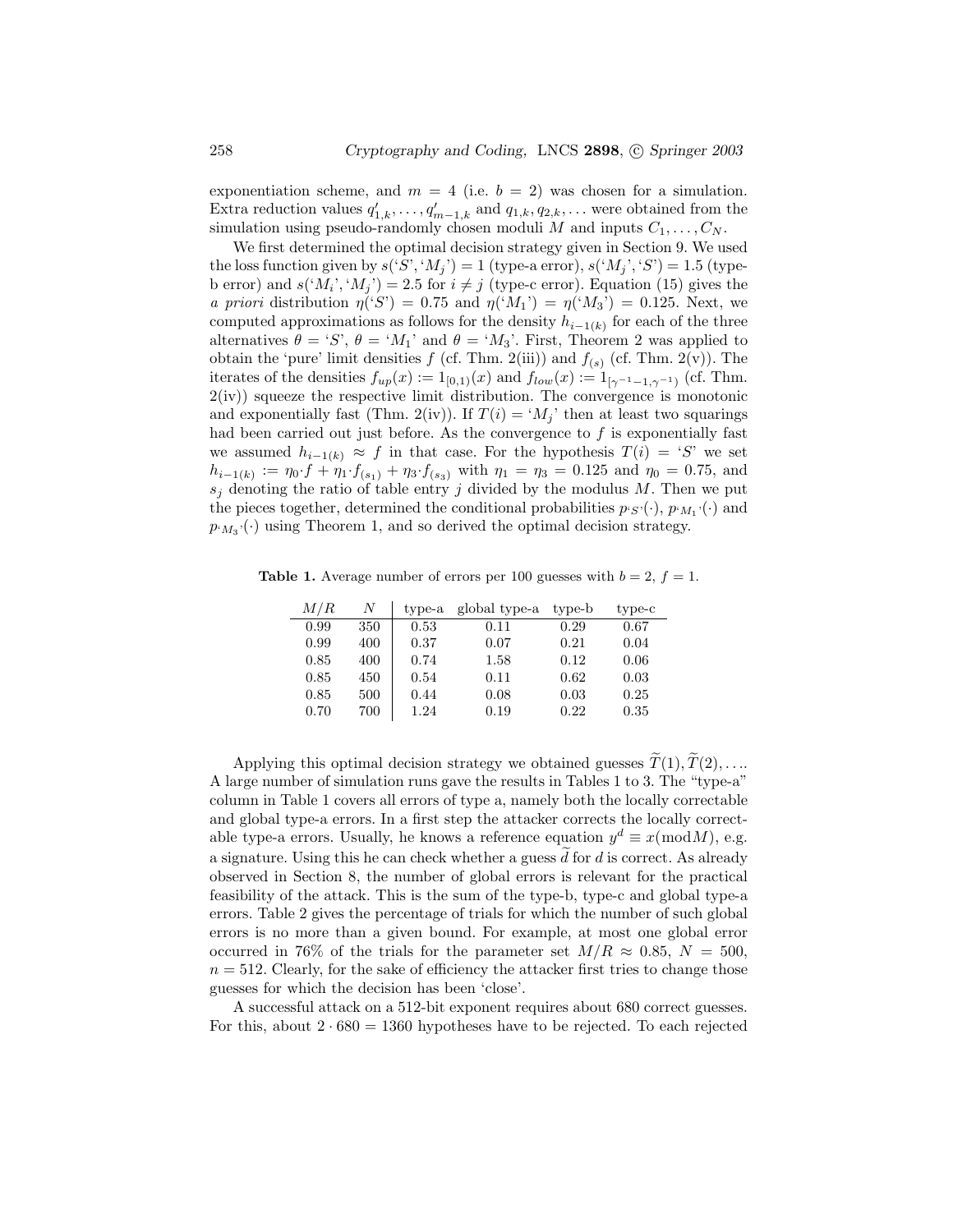exponentiation scheme, and  $m = 4$  (i.e.  $b = 2$ ) was chosen for a simulation. Extra reduction values  $q'_{1,k}, \ldots, q'_{m-1,k}$  and  $q_{1,k}, q_{2,k}, \ldots$  were obtained from the simulation using pseudo-randomly chosen moduli M and inputs  $C_1, \ldots, C_N$ .

We first determined the optimal decision strategy given in Section 9. We used the loss function given by  $s('S', 'M_i') = 1$  (type-a error),  $s('M_i', 'S') = 1.5$  (typeb error) and  $s({^t}M_i, {^t}M_j) = 2.5$  for  $i \neq j$  (type-c error). Equation (15) gives the a priori distribution  $\eta'(S') = 0.75$  and  $\eta('M_1') = \eta('M_3') = 0.125$ . Next, we computed approximations as follows for the density  $h_{i-1(k)}$  for each of the three alternatives  $\theta = S$ ,  $\theta = M_1$  and  $\theta = M_3$ . First, Theorem 2 was applied to obtain the 'pure' limit densities  $f$  (cf. Thm. 2(iii)) and  $f_{(s)}$  (cf. Thm. 2(v)). The iterates of the densities  $f_{up}(x) := 1_{[0,1)}(x)$  and  $f_{low}(x) := 1_{[\gamma^{-1}-1,\gamma^{-1}]}$  (cf. Thm.  $2(iv)$  squeeze the respective limit distribution. The convergence is monotonic and exponentially fast (Thm. 2(iv)). If  $T(i) = M_j$  then at least two squarings had been carried out just before. As the convergence to  $f$  is exponentially fast we assumed  $h_{i-1(k)} \approx f$  in that case. For the hypothesis  $T(i) = S'$  we set  $h_{i-1(k)} := \eta_0 \cdot f + \eta_1 \cdot f_{(s_1)} + \eta_3 \cdot f_{(s_3)}$  with  $\eta_1 = \eta_3 = 0.125$  and  $\eta_0 = 0.75$ , and  $s_j$  denoting the ratio of table entry j divided by the modulus M. Then we put the pieces together, determined the conditional probabilities  $p_{\{S\}}(\cdot), p_{\{M_1\}}(\cdot)$  and  $p_{M_3}(\cdot)$  using Theorem 1, and so derived the optimal decision strategy.

**Table 1.** Average number of errors per 100 guesses with  $b = 2$ ,  $f = 1$ .

| M/R  | N   | type-a | global type-a | type-b | type-c |
|------|-----|--------|---------------|--------|--------|
| 0.99 | 350 | 0.53   | 0.11          | 0.29   | 0.67   |
| 0.99 | 400 | 0.37   | 0.07          | 0.21   | 0.04   |
| 0.85 | 400 | 0.74   | 1.58          | 0.12   | 0.06   |
| 0.85 | 450 | 0.54   | 0.11          | 0.62   | 0.03   |
| 0.85 | 500 | 0.44   | 0.08          | 0.03   | 0.25   |
| 0.70 | 700 | 1.24   | 0.19          | 0.22   | 0.35   |

Applying this optimal decision strategy we obtained guesses  $\widetilde{T}(1), \widetilde{T}(2), \ldots$ A large number of simulation runs gave the results in Tables 1 to 3. The "type-a" column in Table 1 covers all errors of type a, namely both the locally correctable and global type-a errors. In a first step the attacker corrects the locally correctable type-a errors. Usually, he knows a reference equation  $y^d \equiv x \pmod{M}$ , e.g. a signature. Using this he can check whether a guess  $\tilde{d}$  for  $d$  is correct. As already observed in Section 8, the number of global errors is relevant for the practical feasibility of the attack. This is the sum of the type-b, type-c and global type-a errors. Table 2 gives the percentage of trials for which the number of such global errors is no more than a given bound. For example, at most one global error occurred in 76% of the trials for the parameter set  $M/R \approx 0.85$ ,  $N = 500$ ,  $n = 512$ . Clearly, for the sake of efficiency the attacker first tries to change those guesses for which the decision has been 'close'.

A successful attack on a 512-bit exponent requires about 680 correct guesses. For this, about  $2 \cdot 680 = 1360$  hypotheses have to be rejected. To each rejected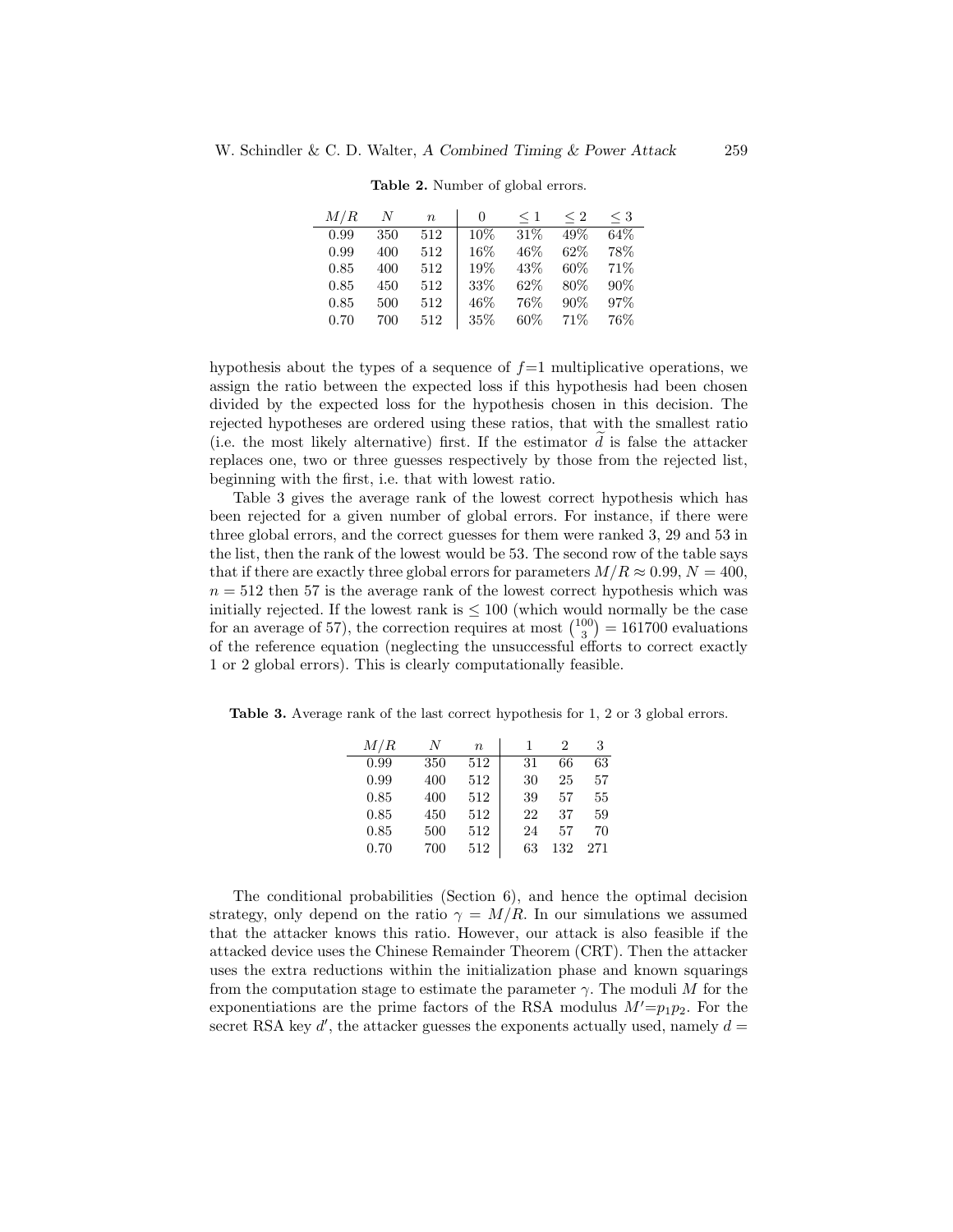| M/R  | N   | $\eta$ | $^{(1)}$ | $<$ 1 | $\leq 2$ | $\leq 3$ |
|------|-----|--------|----------|-------|----------|----------|
| 0.99 | 350 | 512    | $10\%$   | 31%   | 49\%     | 64%      |
| 0.99 | 400 | 512    | 16\%     | 46%   | 62\%     | 78%      |
| 0.85 | 400 | 512    | 19%      | 43\%  | 60%      | 71\%     |
| 0.85 | 450 | 512    | 33%      | 62\%  | 80\%     | 90%      |
| 0.85 | 500 | 512    | 46%      | 76%   | 90%      | 97%      |
| 0.70 | 700 | 512    | 35\%     | 60%   | 71\%     | 76%      |

Table 2. Number of global errors.

hypothesis about the types of a sequence of  $f=1$  multiplicative operations, we assign the ratio between the expected loss if this hypothesis had been chosen divided by the expected loss for the hypothesis chosen in this decision. The rejected hypotheses are ordered using these ratios, that with the smallest ratio (i.e. the most likely alternative) first. If the estimator  $d$  is false the attacker replaces one, two or three guesses respectively by those from the rejected list, beginning with the first, i.e. that with lowest ratio.

Table 3 gives the average rank of the lowest correct hypothesis which has been rejected for a given number of global errors. For instance, if there were three global errors, and the correct guesses for them were ranked 3, 29 and 53 in the list, then the rank of the lowest would be 53. The second row of the table says that if there are exactly three global errors for parameters  $M/R \approx 0.99, N = 400$ ,  $n = 512$  then 57 is the average rank of the lowest correct hypothesis which was initially rejected. If the lowest rank is  $\leq 100$  (which would normally be the case for an average of 57), the correction requires at most  $\binom{100}{3} = 161700$  evaluations of the reference equation (neglecting the unsuccessful efforts to correct exactly 1 or 2 global errors). This is clearly computationally feasible.

Table 3. Average rank of the last correct hypothesis for 1, 2 or 3 global errors.

| M/R  | N   | $\boldsymbol{n}$ |    | 2   | 3   |
|------|-----|------------------|----|-----|-----|
| 0.99 | 350 | 512              | 31 | 66  | 63  |
| 0.99 | 400 | 512              | 30 | 25  | 57  |
| 0.85 | 400 | 512              | 39 | 57  | 55  |
| 0.85 | 450 | 512              | 22 | 37  | 59  |
| 0.85 | 500 | 512              | 24 | 57  | 70  |
| 0.70 | 700 | 512              | 63 | 132 | 271 |
|      |     |                  |    |     |     |

The conditional probabilities (Section 6), and hence the optimal decision strategy, only depend on the ratio  $\gamma = M/R$ . In our simulations we assumed that the attacker knows this ratio. However, our attack is also feasible if the attacked device uses the Chinese Remainder Theorem (CRT). Then the attacker uses the extra reductions within the initialization phase and known squarings from the computation stage to estimate the parameter  $\gamma$ . The moduli M for the exponentiations are the prime factors of the RSA modulus  $M' = p_1p_2$ . For the secret RSA key  $d'$ , the attacker guesses the exponents actually used, namely  $d =$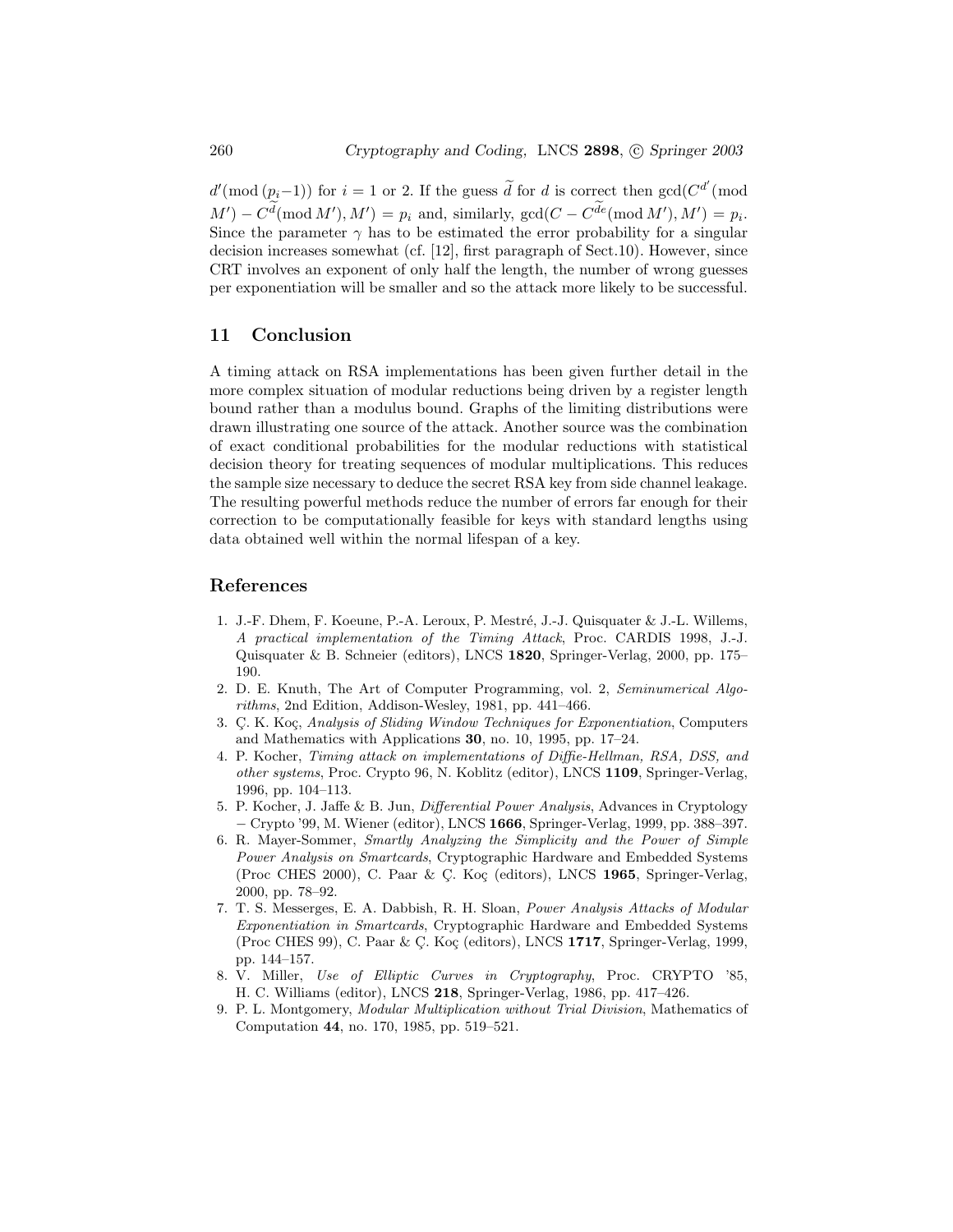$d'(\text{mod } (p_i-1))$  for  $i=1$  or 2. If the guess  $\widetilde{d}$  for d is correct then  $gcd(C^{d'}(\text{mod } 2))$  $M'$ ) –  $C^d \text{ (mod } M'$ ),  $M'$ ) =  $p_i$  and, similarly,  $gcd(C - C^{de} \text{ (mod } M'), M') = p_i$ . Since the parameter  $\gamma$  has to be estimated the error probability for a singular decision increases somewhat (cf. [12], first paragraph of Sect.10). However, since CRT involves an exponent of only half the length, the number of wrong guesses per exponentiation will be smaller and so the attack more likely to be successful.

### 11 Conclusion

A timing attack on RSA implementations has been given further detail in the more complex situation of modular reductions being driven by a register length bound rather than a modulus bound. Graphs of the limiting distributions were drawn illustrating one source of the attack. Another source was the combination of exact conditional probabilities for the modular reductions with statistical decision theory for treating sequences of modular multiplications. This reduces the sample size necessary to deduce the secret RSA key from side channel leakage. The resulting powerful methods reduce the number of errors far enough for their correction to be computationally feasible for keys with standard lengths using data obtained well within the normal lifespan of a key.

## References

- 1. J.-F. Dhem, F. Koeune, P.-A. Leroux, P. Mestré, J.-J. Quisquater & J.-L. Willems, A practical implementation of the Timing Attack, Proc. CARDIS 1998, J.-J. Quisquater & B. Schneier (editors), LNCS 1820, Springer-Verlag, 2000, pp. 175– 190.
- 2. D. E. Knuth, The Art of Computer Programming, vol. 2, Seminumerical Algorithms, 2nd Edition, Addison-Wesley, 1981, pp. 441–466.
- 3. C. K. Koç, Analysis of Sliding Window Techniques for Exponentiation, Computers and Mathematics with Applications 30, no. 10, 1995, pp. 17–24.
- 4. P. Kocher, Timing attack on implementations of Diffie-Hellman, RSA, DSS, and other systems, Proc. Crypto 96, N. Koblitz (editor), LNCS 1109, Springer-Verlag, 1996, pp. 104–113.
- 5. P. Kocher, J. Jaffe & B. Jun, Differential Power Analysis, Advances in Cryptology − Crypto '99, M. Wiener (editor), LNCS 1666, Springer-Verlag, 1999, pp. 388–397.
- 6. R. Mayer-Sommer, Smartly Analyzing the Simplicity and the Power of Simple Power Analysis on Smartcards, Cryptographic Hardware and Embedded Systems (Proc CHES 2000), C. Paar & C. Koç (editors), LNCS 1965, Springer-Verlag, 2000, pp. 78–92.
- 7. T. S. Messerges, E. A. Dabbish, R. H. Sloan, Power Analysis Attacks of Modular Exponentiation in Smartcards, Cryptographic Hardware and Embedded Systems (Proc CHES 99), C. Paar & Ç. Koç (editors), LNCS 1717, Springer-Verlag, 1999, pp. 144–157.
- 8. V. Miller, Use of Elliptic Curves in Cryptography, Proc. CRYPTO '85, H. C. Williams (editor), LNCS 218, Springer-Verlag, 1986, pp. 417–426.
- 9. P. L. Montgomery, Modular Multiplication without Trial Division, Mathematics of Computation 44, no. 170, 1985, pp. 519–521.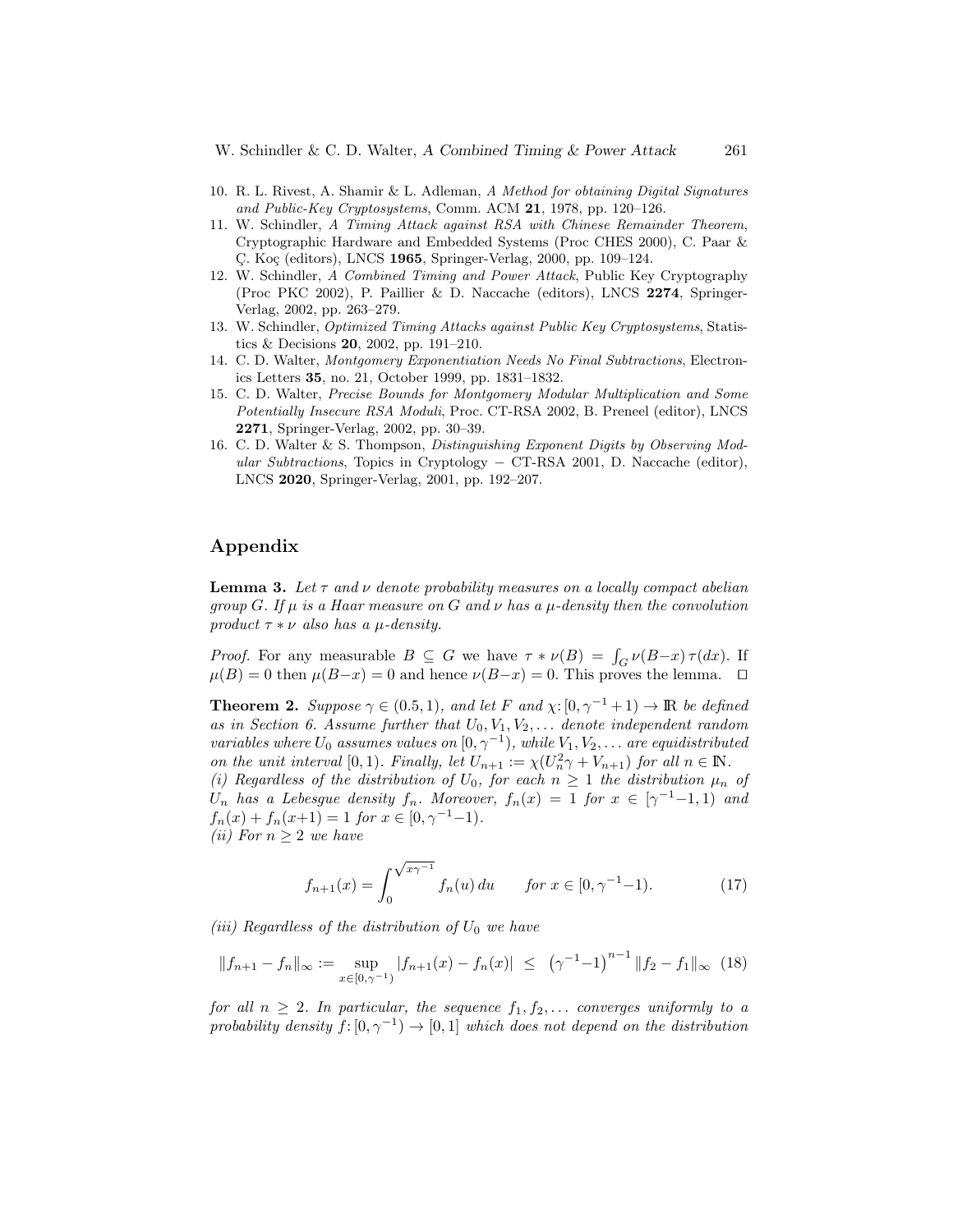- 10. R. L. Rivest, A. Shamir & L. Adleman, A Method for obtaining Digital Signatures and Public-Key Cryptosystems, Comm. ACM 21, 1978, pp. 120–126.
- 11. W. Schindler, A Timing Attack against RSA with Chinese Remainder Theorem, Cryptographic Hardware and Embedded Systems (Proc CHES 2000), C. Paar & C. Koç (editors), LNCS 1965, Springer-Verlag, 2000, pp. 109–124.
- 12. W. Schindler, A Combined Timing and Power Attack, Public Key Cryptography (Proc PKC 2002), P. Paillier & D. Naccache (editors), LNCS 2274, Springer-Verlag, 2002, pp. 263–279.
- 13. W. Schindler, Optimized Timing Attacks against Public Key Cryptosystems, Statistics & Decisions 20, 2002, pp. 191–210.
- 14. C. D. Walter, Montgomery Exponentiation Needs No Final Subtractions, Electronics Letters 35, no. 21, October 1999, pp. 1831–1832.
- 15. C. D. Walter, Precise Bounds for Montgomery Modular Multiplication and Some Potentially Insecure RSA Moduli, Proc. CT-RSA 2002, B. Preneel (editor), LNCS 2271, Springer-Verlag, 2002, pp. 30–39.
- 16. C. D. Walter & S. Thompson, Distinguishing Exponent Digits by Observing Modular Subtractions, Topics in Cryptology – CT-RSA 2001, D. Naccache (editor), LNCS 2020, Springer-Verlag, 2001, pp. 192–207.

# Appendix

**Lemma 3.** Let  $\tau$  and  $\nu$  denote probability measures on a locally compact abelian group G. If  $\mu$  is a Haar measure on G and  $\nu$  has a  $\mu$ -density then the convolution product  $\tau * \nu$  also has a  $\mu$ -density.

*Proof.* For any measurable  $B \subseteq G$  we have  $\tau * \nu(B) = \int_G \nu(B-x) \tau(dx)$ . If  $\mu(B) = 0$  then  $\mu(B-x) = 0$  and hence  $\nu(B-x) = 0$ . This proves the lemma.  $\square$ 

**Theorem 2.** Suppose  $\gamma \in (0.5, 1)$ , and let F and  $\chi: [0, \gamma^{-1} + 1) \to \mathbb{R}$  be defined as in Section 6. Assume further that  $U_0, V_1, V_2, \ldots$  denote independent random variables where  $U_0$  assumes values on  $[0, \gamma^{-1})$ , while  $V_1, V_2, \ldots$  are equidistributed on the unit interval [0, 1). Finally, let  $U_{n+1} := \chi(U_n^2 \gamma + V_{n+1})$  for all  $n \in \mathbb{N}$ .

(i) Regardless of the distribution of  $U_0$ , for each  $n \geq 1$  the distribution  $\mu_n$  of  $U_n$  has a Lebesgue density  $f_n$ . Moreover,  $f_n(x) = 1$  for  $x \in [\gamma^{-1}-1, 1)$  and  $f_n(x) + f_n(x+1) = 1$  for  $x \in [0, \gamma^{-1}-1)$ .

(ii) For 
$$
n \geq 2
$$
 we have

$$
f_{n+1}(x) = \int_0^{\sqrt{x\gamma^{-1}}} f_n(u) \, du \qquad \text{for } x \in [0, \gamma^{-1} - 1). \tag{17}
$$

(iii) Regardless of the distribution of  $U_0$  we have

$$
||f_{n+1} - f_n||_{\infty} := \sup_{x \in [0, \gamma^{-1})} |f_{n+1}(x) - f_n(x)| \le (\gamma^{-1} - 1)^{n-1} ||f_2 - f_1||_{\infty} (18)
$$

for all  $n \geq 2$ . In particular, the sequence  $f_1, f_2, \ldots$  converges uniformly to a probability density  $f: [0, \gamma^{-1}) \to [0, 1]$  which does not depend on the distribution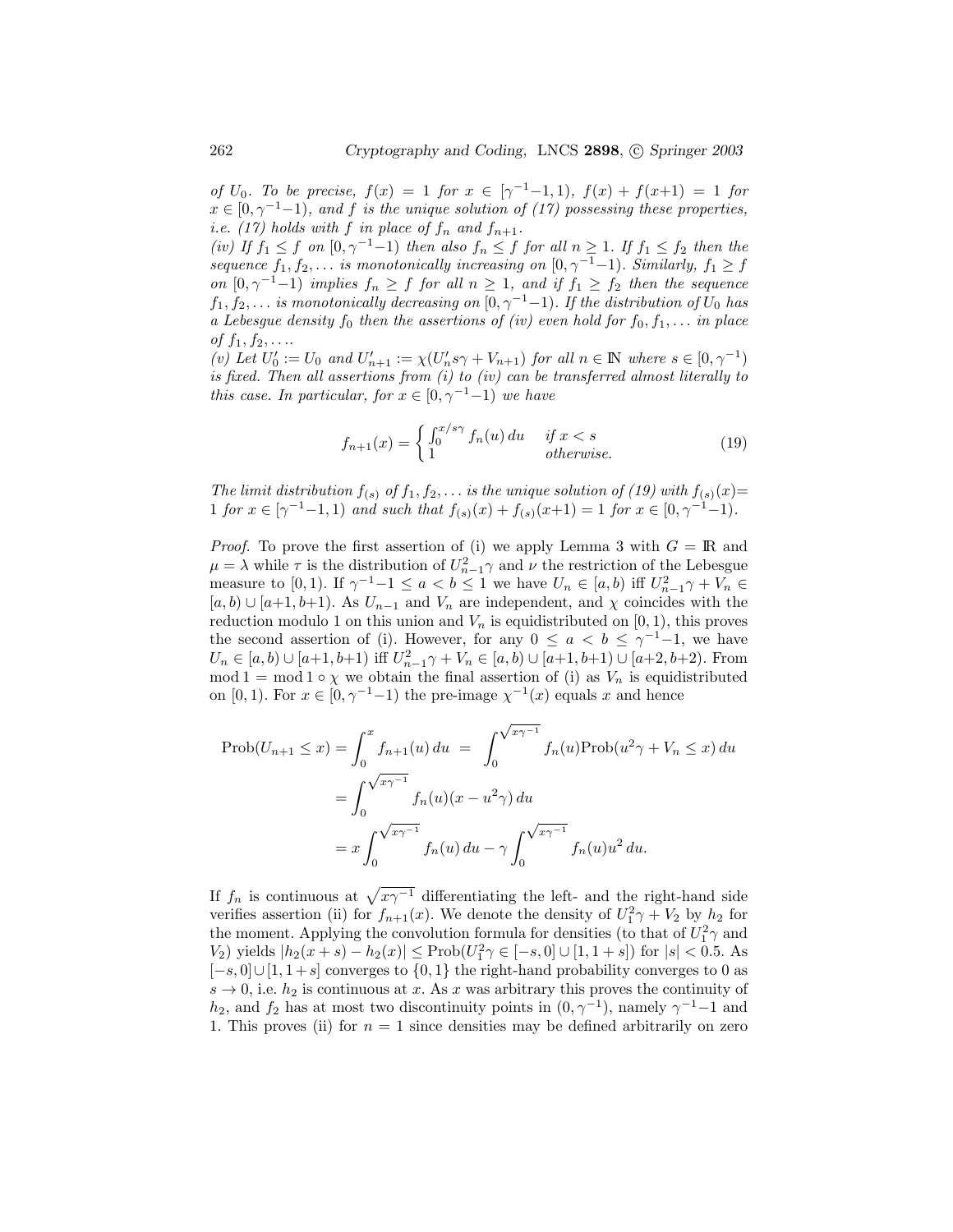of  $U_0$ . To be precise,  $f(x) = 1$  for  $x \in [\gamma^{-1} - 1, 1)$ ,  $f(x) + f(x+1) = 1$  for  $x \in [0, \gamma^{-1}-1)$ , and f is the unique solution of (17) possessing these properties, i.e. (17) holds with f in place of  $f_n$  and  $f_{n+1}$ .

(iv) If  $f_1 \leq f$  on  $[0, \gamma^{-1}-1)$  then also  $f_n \leq f$  for all  $n \geq 1$ . If  $f_1 \leq f_2$  then the sequence  $f_1, f_2, \ldots$  is monotonically increasing on  $[0, \gamma^{-1}-1)$ . Similarly,  $f_1 \geq f$ on  $[0, \gamma^{-1}-1)$  implies  $f_n \geq f$  for all  $n \geq 1$ , and if  $f_1 \geq f_2$  then the sequence  $f_1, f_2, \ldots$  is monotonically decreasing on  $[0, \gamma^{-1}-1)$ . If the distribution of  $U_0$  has a Lebesgue density  $f_0$  then the assertions of (iv) even hold for  $f_0, f_1, \ldots$  in place of  $f_1, f_2, \ldots$ 

(v) Let  $U'_0 := U_0$  and  $U'_{n+1} := \chi(U'_n s \gamma + V_{n+1})$  for all  $n \in \mathbb{N}$  where  $s \in [0, \gamma^{-1})$ is fixed. Then all assertions from (i) to (iv) can be transferred almost literally to this case. In particular, for  $x \in [0, \gamma^{-1}-1)$  we have

$$
f_{n+1}(x) = \begin{cases} \int_0^{x/s\gamma} f_n(u) du & \text{if } x < s\\ 1 & \text{otherwise.} \end{cases}
$$
 (19)

The limit distribution  $f(s)$  of  $f_1, f_2, \ldots$  is the unique solution of (19) with  $f(s)(x)$ = 1 for  $x \in [\gamma^{-1}-1, 1)$  and such that  $f_{(s)}(x) + f_{(s)}(x+1) = 1$  for  $x \in [0, \gamma^{-1}-1)$ .

*Proof.* To prove the first assertion of (i) we apply Lemma 3 with  $G = \mathbb{R}$  and  $\mu = \lambda$  while  $\tau$  is the distribution of  $U_{n-1}^2 \gamma$  and  $\nu$  the restriction of the Lebesgue measure to [0, 1). If  $\gamma^{-1}-1 \le a < b \le 1$  we have  $U_n \in [a, b)$  iff  $U_{n-1}^2 \gamma + V_n \in$  $[a, b) \cup [a+1, b+1]$ . As  $U_{n-1}$  and  $V_n$  are independent, and  $\chi$  coincides with the reduction modulo 1 on this union and  $V_n$  is equidistributed on [0, 1], this proves the second assertion of (i). However, for any  $0 \le a < b \le \gamma^{-1}-1$ , we have  $U_n \in [a, b) \cup [a+1, b+1)$  iff  $U_{n-1}^2 \gamma + V_n \in [a, b) \cup [a+1, b+1) \cup [a+2, b+2)$ . From mod 1 = mod 1 ∘  $\chi$  we obtain the final assertion of (i) as  $V_n$  is equidistributed on [0, 1). For  $x \in [0, \gamma^{-1}-1)$  the pre-image  $\chi^{-1}(x)$  equals x and hence

$$
\text{Prob}(U_{n+1} \le x) = \int_0^x f_{n+1}(u) du = \int_0^{\sqrt{x\gamma^{-1}}} f_n(u) \text{Prob}(u^2 \gamma + V_n \le x) du
$$
  
= 
$$
\int_0^{\sqrt{x\gamma^{-1}}} f_n(u)(x - u^2 \gamma) du
$$
  
= 
$$
x \int_0^{\sqrt{x\gamma^{-1}}} f_n(u) du - \gamma \int_0^{\sqrt{x\gamma^{-1}}} f_n(u) u^2 du.
$$

If  $f_n$  is continuous at  $\sqrt{x\gamma^{-1}}$  differentiating the left- and the right-hand side verifies assertion (ii) for  $f_{n+1}(x)$ . We denote the density of  $U_1^2\gamma + V_2$  by  $h_2$  for the moment. Applying the convolution formula for densities (to that of  $U_1^2 \gamma$  and V<sub>2</sub>) yields  $|h_2(x + s) - h_2(x)| \leq \text{Prob}(U_1^2 \gamma \in [-s, 0] \cup [1, 1+s])$  for  $|s| < 0.5$ . As  $[-s, 0] \cup [1, 1+s]$  converges to  $\{0, 1\}$  the right-hand probability converges to 0 as  $s \to 0$ , i.e.  $h_2$  is continuous at x. As x was arbitrary this proves the continuity of  $h_2$ , and  $f_2$  has at most two discontinuity points in  $(0, \gamma^{-1})$ , namely  $\gamma^{-1}-1$  and 1. This proves (ii) for  $n = 1$  since densities may be defined arbitrarily on zero